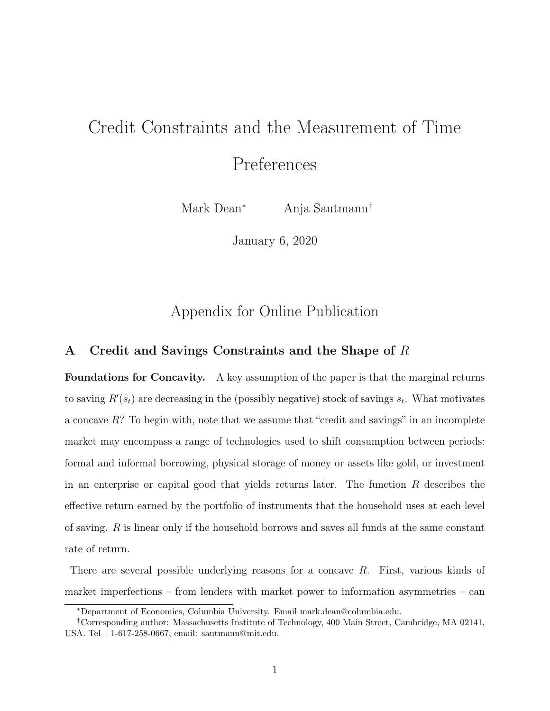# Credit Constraints and the Measurement of Time

Preferences

Mark Dean<sup>∗</sup> Anja Sautmann†

January 6, 2020

# Appendix for Online Publication

# A Credit and Savings Constraints and the Shape of R

Foundations for Concavity. A key assumption of the paper is that the marginal returns to saving  $R'(s_t)$  are decreasing in the (possibly negative) stock of savings  $s_t$ . What motivates a concave  $R$ ? To begin with, note that we assume that "credit and savings" in an incomplete market may encompass a range of technologies used to shift consumption between periods: formal and informal borrowing, physical storage of money or assets like gold, or investment in an enterprise or capital good that yields returns later. The function  $R$  describes the effective return earned by the portfolio of instruments that the household uses at each level of saving. R is linear only if the household borrows and saves all funds at the same constant rate of return.

There are several possible underlying reasons for a concave R. First, various kinds of market imperfections – from lenders with market power to information asymmetries – can

<sup>∗</sup>Department of Economics, Columbia University. Email mark.dean@columbia.edu.

<sup>†</sup>Corresponding author: Massachusetts Institute of Technology, 400 Main Street, Cambridge, MA 02141, USA. Tel +1-617-258-0667, email: sautmann@mit.edu.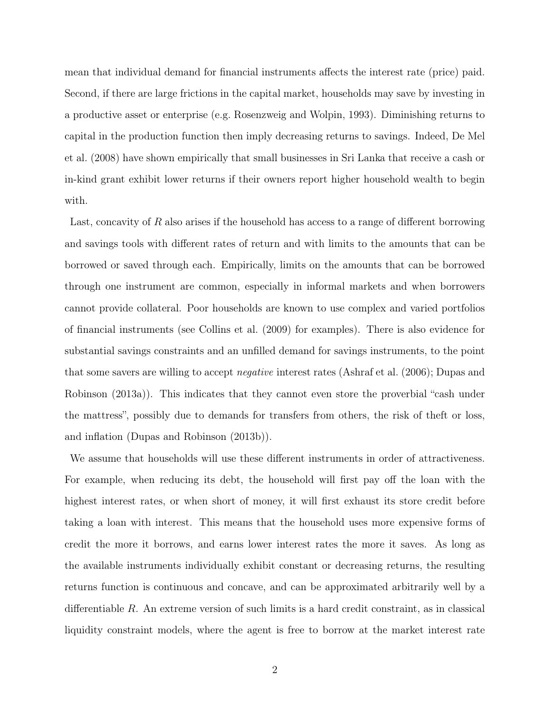mean that individual demand for financial instruments affects the interest rate (price) paid. Second, if there are large frictions in the capital market, households may save by investing in a productive asset or enterprise (e.g. Rosenzweig and Wolpin, 1993). Diminishing returns to capital in the production function then imply decreasing returns to savings. Indeed, De Mel et al. (2008) have shown empirically that small businesses in Sri Lanka that receive a cash or in-kind grant exhibit lower returns if their owners report higher household wealth to begin with.

Last, concavity of R also arises if the household has access to a range of different borrowing and savings tools with different rates of return and with limits to the amounts that can be borrowed or saved through each. Empirically, limits on the amounts that can be borrowed through one instrument are common, especially in informal markets and when borrowers cannot provide collateral. Poor households are known to use complex and varied portfolios of financial instruments (see Collins et al. (2009) for examples). There is also evidence for substantial savings constraints and an unfilled demand for savings instruments, to the point that some savers are willing to accept negative interest rates (Ashraf et al. (2006); Dupas and Robinson (2013a)). This indicates that they cannot even store the proverbial "cash under the mattress", possibly due to demands for transfers from others, the risk of theft or loss, and inflation (Dupas and Robinson (2013b)).

We assume that households will use these different instruments in order of attractiveness. For example, when reducing its debt, the household will first pay off the loan with the highest interest rates, or when short of money, it will first exhaust its store credit before taking a loan with interest. This means that the household uses more expensive forms of credit the more it borrows, and earns lower interest rates the more it saves. As long as the available instruments individually exhibit constant or decreasing returns, the resulting returns function is continuous and concave, and can be approximated arbitrarily well by a differentiable R. An extreme version of such limits is a hard credit constraint, as in classical liquidity constraint models, where the agent is free to borrow at the market interest rate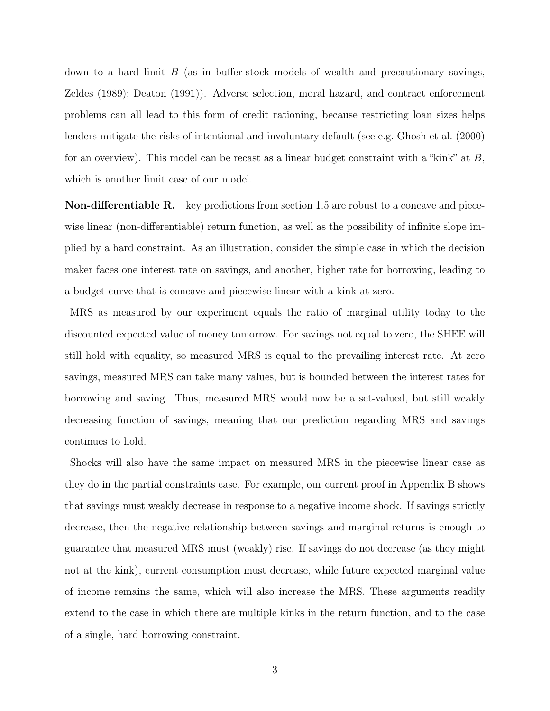down to a hard limit  $B$  (as in buffer-stock models of wealth and precautionary savings, Zeldes (1989); Deaton (1991)). Adverse selection, moral hazard, and contract enforcement problems can all lead to this form of credit rationing, because restricting loan sizes helps lenders mitigate the risks of intentional and involuntary default (see e.g. Ghosh et al. (2000) for an overview). This model can be recast as a linear budget constraint with a "kink" at  $B$ , which is another limit case of our model.

Non-differentiable R. key predictions from section 1.5 are robust to a concave and piecewise linear (non-differentiable) return function, as well as the possibility of infinite slope implied by a hard constraint. As an illustration, consider the simple case in which the decision maker faces one interest rate on savings, and another, higher rate for borrowing, leading to a budget curve that is concave and piecewise linear with a kink at zero.

MRS as measured by our experiment equals the ratio of marginal utility today to the discounted expected value of money tomorrow. For savings not equal to zero, the SHEE will still hold with equality, so measured MRS is equal to the prevailing interest rate. At zero savings, measured MRS can take many values, but is bounded between the interest rates for borrowing and saving. Thus, measured MRS would now be a set-valued, but still weakly decreasing function of savings, meaning that our prediction regarding MRS and savings continues to hold.

Shocks will also have the same impact on measured MRS in the piecewise linear case as they do in the partial constraints case. For example, our current proof in Appendix B shows that savings must weakly decrease in response to a negative income shock. If savings strictly decrease, then the negative relationship between savings and marginal returns is enough to guarantee that measured MRS must (weakly) rise. If savings do not decrease (as they might not at the kink), current consumption must decrease, while future expected marginal value of income remains the same, which will also increase the MRS. These arguments readily extend to the case in which there are multiple kinks in the return function, and to the case of a single, hard borrowing constraint.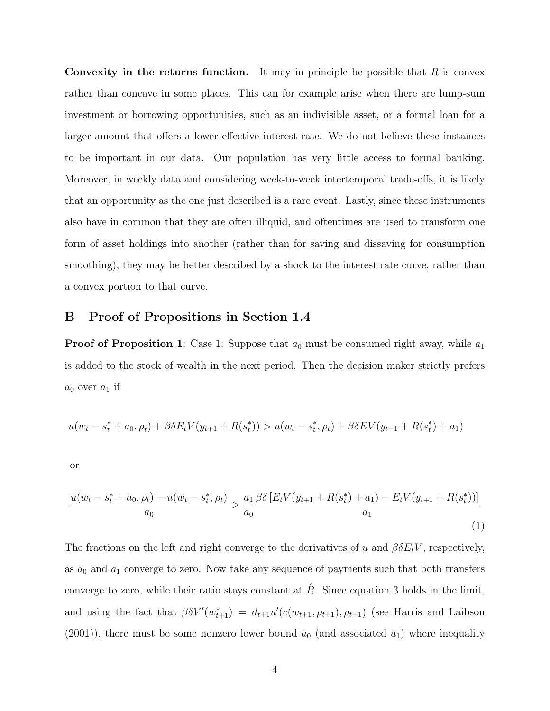Convexity in the returns function. It may in principle be possible that  $R$  is convex rather than concave in some places. This can for example arise when there are lump-sum investment or borrowing opportunities, such as an indivisible asset, or a formal loan for a larger amount that offers a lower effective interest rate. We do not believe these instances to be important in our data. Our population has very little access to formal banking. Moreover, in weekly data and considering week-to-week intertemporal trade-offs, it is likely that an opportunity as the one just described is a rare event. Lastly, since these instruments also have in common that they are often illiquid, and oftentimes are used to transform one form of asset holdings into another (rather than for saving and dissaving for consumption smoothing), they may be better described by a shock to the interest rate curve, rather than a convex portion to that curve.

## B Proof of Propositions in Section 1.4

**Proof of Proposition 1**: Case 1: Suppose that  $a_0$  must be consumed right away, while  $a_1$ is added to the stock of wealth in the next period. Then the decision maker strictly prefers  $a_0$  over  $a_1$  if

$$
u(w_t - s_t^* + a_0, \rho_t) + \beta \delta E_t V(y_{t+1} + R(s_t^*)) > u(w_t - s_t^*, \rho_t) + \beta \delta E V(y_{t+1} + R(s_t^*) + a_1)
$$

or

$$
\frac{u(w_t - s_t^* + a_0, \rho_t) - u(w_t - s_t^*, \rho_t)}{a_0} > \frac{a_1}{a_0} \frac{\beta \delta \left[ E_t V(y_{t+1} + R(s_t^*) + a_1) - E_t V(y_{t+1} + R(s_t^*)) \right]}{a_1} \tag{1}
$$

The fractions on the left and right converge to the derivatives of u and  $\beta \delta E_t V$ , respectively, as  $a_0$  and  $a_1$  converge to zero. Now take any sequence of payments such that both transfers converge to zero, while their ratio stays constant at  $R$ . Since equation 3 holds in the limit, and using the fact that  $\beta \delta V'(w_{t+1}^*) = d_{t+1}u'(c(w_{t+1}, \rho_{t+1}), \rho_{t+1})$  (see Harris and Laibson  $(2001)$ , there must be some nonzero lower bound  $a_0$  (and associated  $a_1$ ) where inequality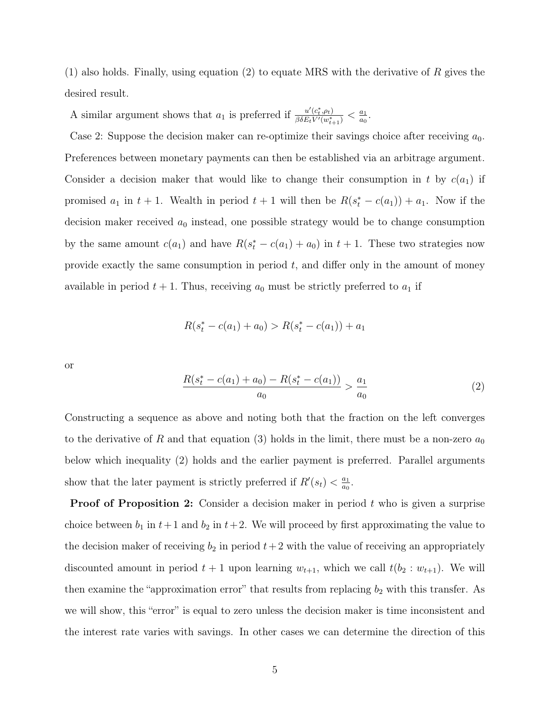(1) also holds. Finally, using equation (2) to equate MRS with the derivative of R gives the desired result.

A similar argument shows that  $a_1$  is preferred if  $\frac{u'(c_t^*, \rho_t)}{\beta \delta E_t V'(w^*)}$  $\frac{u'(c_t^*,\rho_t)}{\beta\delta E_t V'(w_{t+1}^*)} < \frac{a_1}{a_0}$  $\frac{a_1}{a_0}$ .

Case 2: Suppose the decision maker can re-optimize their savings choice after receiving  $a_0$ . Preferences between monetary payments can then be established via an arbitrage argument. Consider a decision maker that would like to change their consumption in t by  $c(a_1)$  if promised  $a_1$  in  $t + 1$ . Wealth in period  $t + 1$  will then be  $R(s_t^* - c(a_1)) + a_1$ . Now if the decision maker received  $a_0$  instead, one possible strategy would be to change consumption by the same amount  $c(a_1)$  and have  $R(s_t^* - c(a_1) + a_0)$  in  $t + 1$ . These two strategies now provide exactly the same consumption in period  $t$ , and differ only in the amount of money available in period  $t + 1$ . Thus, receiving  $a_0$  must be strictly preferred to  $a_1$  if

$$
R(s_t^* - c(a_1) + a_0) > R(s_t^* - c(a_1)) + a_1
$$

or

$$
\frac{R(s_t^* - c(a_1) + a_0) - R(s_t^* - c(a_1))}{a_0} > \frac{a_1}{a_0} \tag{2}
$$

Constructing a sequence as above and noting both that the fraction on the left converges to the derivative of R and that equation (3) holds in the limit, there must be a non-zero  $a_0$ below which inequality (2) holds and the earlier payment is preferred. Parallel arguments show that the later payment is strictly preferred if  $R'(s_t) < \frac{a_1}{a_0}$  $\frac{a_1}{a_0}$ .

**Proof of Proposition 2:** Consider a decision maker in period t who is given a surprise choice between  $b_1$  in  $t+1$  and  $b_2$  in  $t+2$ . We will proceed by first approximating the value to the decision maker of receiving  $b_2$  in period  $t+2$  with the value of receiving an appropriately discounted amount in period  $t + 1$  upon learning  $w_{t+1}$ , which we call  $t(b_2 : w_{t+1})$ . We will then examine the "approximation error" that results from replacing  $b_2$  with this transfer. As we will show, this "error" is equal to zero unless the decision maker is time inconsistent and the interest rate varies with savings. In other cases we can determine the direction of this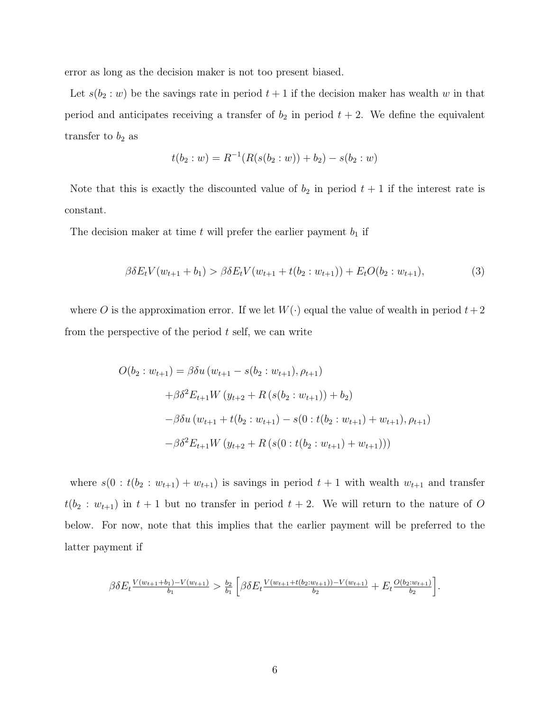error as long as the decision maker is not too present biased.

Let  $s(b_2 : w)$  be the savings rate in period  $t + 1$  if the decision maker has wealth w in that period and anticipates receiving a transfer of  $b_2$  in period  $t + 2$ . We define the equivalent transfer to  $b_2$  as

$$
t(b_2: w) = R^{-1}(R(s(b_2: w)) + b_2) - s(b_2: w)
$$

Note that this is exactly the discounted value of  $b_2$  in period  $t + 1$  if the interest rate is constant.

The decision maker at time  $t$  will prefer the earlier payment  $b_1$  if

$$
\beta \delta E_t V(w_{t+1} + b_1) > \beta \delta E_t V(w_{t+1} + t(b_2 : w_{t+1})) + E_t O(b_2 : w_{t+1}), \tag{3}
$$

where O is the approximation error. If we let  $W(\cdot)$  equal the value of wealth in period  $t+2$ from the perspective of the period  $t$  self, we can write

$$
O(b_2: w_{t+1}) = \beta \delta u (w_{t+1} - s(b_2: w_{t+1}), \rho_{t+1})
$$
  
+  $\beta \delta^2 E_{t+1} W (y_{t+2} + R(s(b_2: w_{t+1})) + b_2)$   
-  $\beta \delta u (w_{t+1} + t(b_2: w_{t+1}) - s(0: t(b_2: w_{t+1}) + w_{t+1}), \rho_{t+1})$   
-  $\beta \delta^2 E_{t+1} W (y_{t+2} + R(s(0: t(b_2: w_{t+1}) + w_{t+1})))$ 

where  $s(0 : t(b_2 : w_{t+1}) + w_{t+1})$  is savings in period  $t + 1$  with wealth  $w_{t+1}$  and transfer  $t(b_2 : w_{t+1})$  in  $t+1$  but no transfer in period  $t+2$ . We will return to the nature of O below. For now, note that this implies that the earlier payment will be preferred to the latter payment if

$$
\beta \delta E_t \frac{V(w_{t+1}+b_1)-V(w_{t+1})}{b_1} > \frac{b_2}{b_1} \left[ \beta \delta E_t \frac{V(w_{t+1}+t(b_2:w_{t+1}))-V(w_{t+1})}{b_2} + E_t \frac{O(b_2:w_{t+1})}{b_2} \right].
$$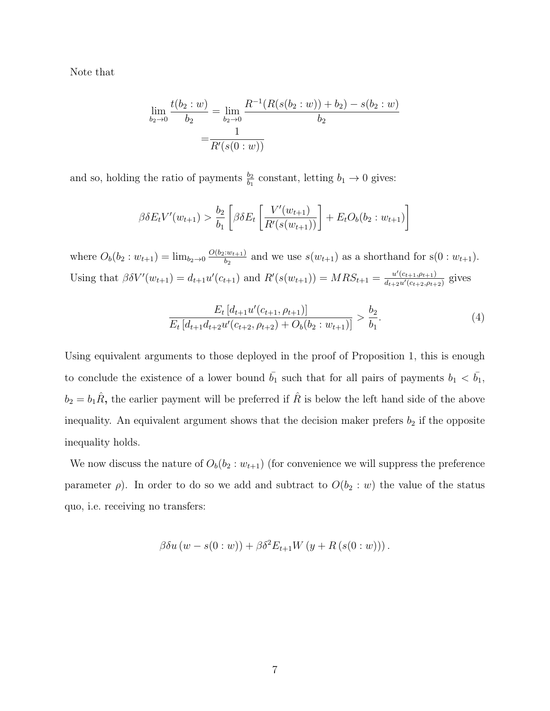Note that

$$
\lim_{b_2 \to 0} \frac{t(b_2:w)}{b_2} = \lim_{b_2 \to 0} \frac{R^{-1}(R(s(b_2:w)) + b_2) - s(b_2:w)}{b_2}
$$

$$
= \frac{1}{R'(s(0:w))}
$$

and so, holding the ratio of payments  $\frac{b_2}{b_1}$  constant, letting  $b_1 \to 0$  gives:

$$
\beta \delta E_t V'(w_{t+1}) > \frac{b_2}{b_1} \left[ \beta \delta E_t \left[ \frac{V'(w_{t+1})}{R'(s(w_{t+1}))} \right] + E_t O_b(b_2 : w_{t+1}) \right]
$$

where  $O_b(b_2:w_{t+1}) = \lim_{b_2 \to 0} \frac{O(b_2:w_{t+1})}{b_2}$  $\frac{w_{t+1}}{b_2}$  and we use  $s(w_{t+1})$  as a shorthand for  $s(0:w_{t+1})$ . Using that  $\beta \delta V'(w_{t+1}) = d_{t+1} u'(c_{t+1})$  and  $R'(s(w_{t+1})) = MRS_{t+1} = \frac{u'(c_{t+1}, \rho_{t+1})}{d_{t+1} u'(c_{t+1}, \rho_{t+1})}$  $\frac{u'(c_{t+1}, \rho_{t+1})}{d_{t+2}u'(c_{t+2}, \rho_{t+2})}$  gives

$$
\frac{E_t \left[d_{t+1} u'(c_{t+1}, \rho_{t+1})\right]}{E_t \left[d_{t+1} d_{t+2} u'(c_{t+2}, \rho_{t+2}) + O_b(b_2 : w_{t+1})\right]} > \frac{b_2}{b_1}.
$$
\n(4)

Using equivalent arguments to those deployed in the proof of Proposition 1, this is enough to conclude the existence of a lower bound  $\bar{b_1}$  such that for all pairs of payments  $b_1 < \bar{b_1}$ ,  $b_2 = b_1 \hat{R}$ , the earlier payment will be preferred if  $\hat{R}$  is below the left hand side of the above inequality. An equivalent argument shows that the decision maker prefers  $b_2$  if the opposite inequality holds.

We now discuss the nature of  $O_b(b_2 : w_{t+1})$  (for convenience we will suppress the preference parameter  $\rho$ ). In order to do so we add and subtract to  $O(b_2 : w)$  the value of the status quo, i.e. receiving no transfers:

$$
\beta \delta u (w - s(0:w)) + \beta \delta^2 E_{t+1} W (y + R (s(0:w))) .
$$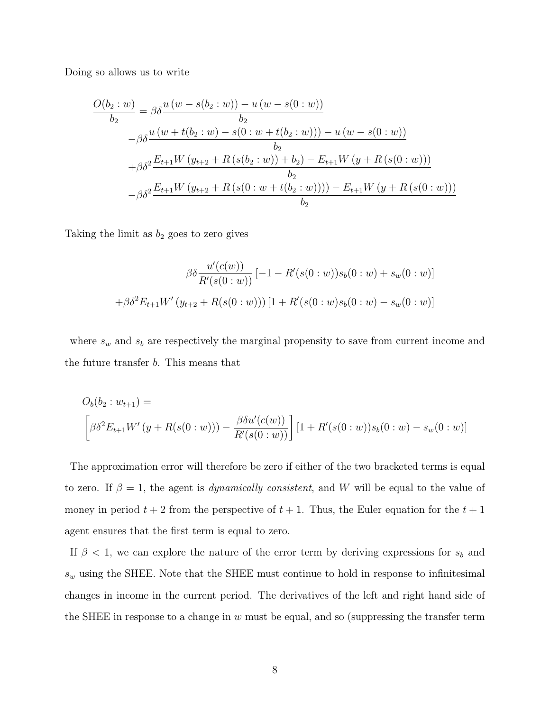Doing so allows us to write

$$
\frac{O(b_2:w)}{b_2} = \beta \delta \frac{u (w - s(b_2:w)) - u (w - s(0:w))}{b_2}
$$
  
\n
$$
- \beta \delta \frac{u (w + t(b_2:w) - s(0:w + t(b_2:w))) - u (w - s(0:w))}{b_2}
$$
  
\n
$$
+ \beta \delta^2 \frac{E_{t+1}W (y_{t+2} + R(s(b_2:w)) + b_2) - E_{t+1}W (y + R(s(0:w)))}{b_2}
$$
  
\n
$$
- \beta \delta^2 \frac{E_{t+1}W (y_{t+2} + R(s(0:w + t(b_2:w)))) - E_{t+1}W (y + R(s(0:w)))}{b_2}
$$

Taking the limit as  $b_2$  goes to zero gives

$$
\beta \delta \frac{u'(c(w))}{R'(s(0:w))} [-1 - R'(s(0:w))s_b(0:w) + s_w(0:w)]
$$
  
+
$$
\beta \delta^2 E_{t+1} W'(y_{t+2} + R(s(0:w))) [1 + R'(s(0:w)s_b(0:w) - s_w(0:w))]
$$

where  $s_w$  and  $s_b$  are respectively the marginal propensity to save from current income and the future transfer b. This means that

$$
O_b(b_2: w_{t+1}) =
$$
  

$$
\left[\beta \delta^2 E_{t+1} W'(y + R(s(0:w))) - \frac{\beta \delta u'(c(w))}{R'(s(0:w))}\right] [1 + R'(s(0:w))s_b(0:w) - s_w(0:w)]
$$

The approximation error will therefore be zero if either of the two bracketed terms is equal to zero. If  $\beta = 1$ , the agent is *dynamically consistent*, and W will be equal to the value of money in period  $t + 2$  from the perspective of  $t + 1$ . Thus, the Euler equation for the  $t + 1$ agent ensures that the first term is equal to zero.

If  $\beta$  < 1, we can explore the nature of the error term by deriving expressions for  $s_b$  and  $s_w$  using the SHEE. Note that the SHEE must continue to hold in response to infinitesimal changes in income in the current period. The derivatives of the left and right hand side of the SHEE in response to a change in  $w$  must be equal, and so (suppressing the transfer term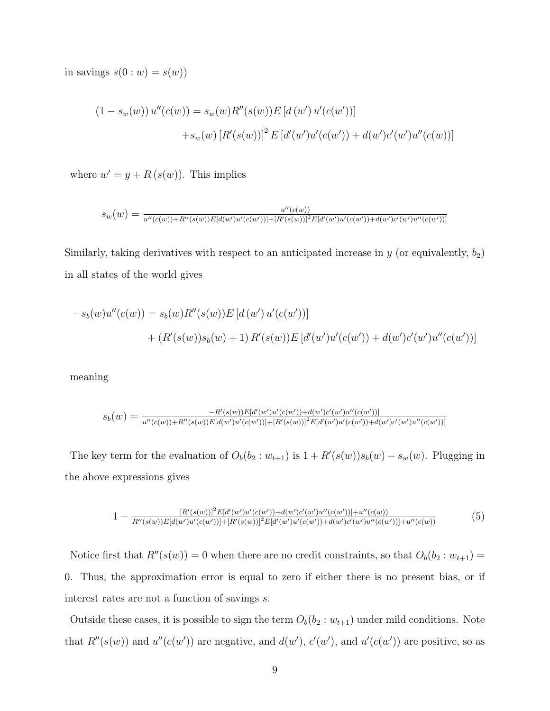in savings  $s(0:w) = s(w)$ 

$$
(1 - s_w(w)) u''(c(w)) = s_w(w) R''(s(w)) E [d(w') u'(c(w'))]
$$
  
+
$$
+ s_w(w) [R'(s(w))]^2 E [d'(w')u'(c(w')) + d(w')c'(w')u''(c(w))]
$$

where  $w' = y + R(s(w))$ . This implies

$$
s_w(w) = \frac{u''(c(w))}{u''(c(w)) + R''(s(w))E[d(w')u'(c(w'))] + [R'(s(w))]^2E[d'(w')u'(c(w')) + d(w')c'(w')u''(c(w'))]}
$$

Similarly, taking derivatives with respect to an anticipated increase in  $y$  (or equivalently,  $b_2$ ) in all states of the world gives

$$
-s_b(w)u''(c(w)) = s_b(w)R''(s(w))E[d(w')u'(c(w'))]
$$
  
+  $(R'(s(w))s_b(w) + 1) R'(s(w))E[d'(w')u'(c(w')) + d(w')c'(w')u''(c(w'))]$ 

meaning

$$
s_b(w) = \frac{-R'(s(w))E[d'(w')u'(c(w')) + d(w')c'(w')u''(c(w'))}{u''(c(w)) + R''(s(w))E[d(w')u'(c(w'))] + [R'(s(w))]^2E[d'(w')u'(c(w')) + d(w')c'(w')u''(c(w'))]}
$$

The key term for the evaluation of  $O_b(b_2 : w_{t+1})$  is  $1 + R'(s(w))s_b(w) - s_w(w)$ . Plugging in the above expressions gives

$$
1 - \frac{[R'(s(w))]^2 E[d'(w')u'(c(w')) + d(w')c'(w')u''(c(w')) + u''(c(w))}{R''(s(w))E[d(w')u'(c(w'))] + [R'(s(w))]^2 E[d'(w')u'(c(w')) + d(w')c'(w')u''(c(w'))] + u''(c(w))}
$$
(5)

Notice first that  $R''(s(w)) = 0$  when there are no credit constraints, so that  $O_b(b_2 : w_{t+1}) =$ 0. Thus, the approximation error is equal to zero if either there is no present bias, or if interest rates are not a function of savings s.

Outside these cases, it is possible to sign the term  $O_b(b_2 : w_{t+1})$  under mild conditions. Note that  $R''(s(w))$  and  $u''(c(w'))$  are negative, and  $d(w')$ ,  $c'(w')$ , and  $u'(c(w'))$  are positive, so as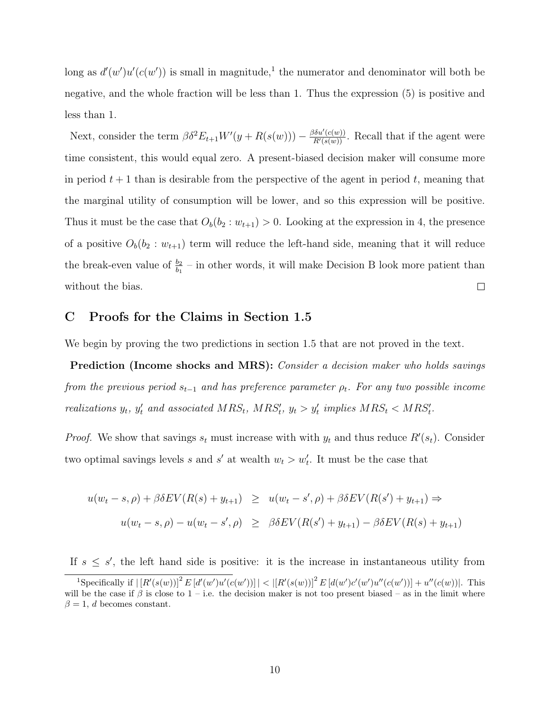long as  $d'(w')u'(c(w'))$  is small in magnitude,<sup>1</sup> the numerator and denominator will both be negative, and the whole fraction will be less than 1. Thus the expression (5) is positive and less than 1.

Next, consider the term  $\beta \delta^2 E_{t+1} W'(y + R(s(w))) - \frac{\beta \delta u'(c(w))}{R'(s(w))}$ . Recall that if the agent were time consistent, this would equal zero. A present-biased decision maker will consume more in period  $t + 1$  than is desirable from the perspective of the agent in period t, meaning that the marginal utility of consumption will be lower, and so this expression will be positive. Thus it must be the case that  $O_b(b_2:w_{t+1})>0$ . Looking at the expression in 4, the presence of a positive  $O_b(b_2 : w_{t+1})$  term will reduce the left-hand side, meaning that it will reduce the break-even value of  $\frac{b_2}{b_1}$  – in other words, it will make Decision B look more patient than without the bias.  $\Box$ 

# C Proofs for the Claims in Section 1.5

We begin by proving the two predictions in section 1.5 that are not proved in the text.

Prediction (Income shocks and MRS): Consider a decision maker who holds savings from the previous period  $s_{t-1}$  and has preference parameter  $\rho_t$ . For any two possible income realizations  $y_t$ ,  $y'_t$  and associated  $MRS_t$ ,  $MRS'_t$ ,  $y_t > y'_t$  implies  $MRS_t < MRS'_t$ .

*Proof.* We show that savings  $s_t$  must increase with with  $y_t$  and thus reduce  $R'(s_t)$ . Consider two optimal savings levels s and s' at wealth  $w_t > w'_t$ . It must be the case that

$$
u(w_t - s, \rho) + \beta \delta EV(R(s) + y_{t+1}) \geq u(w_t - s', \rho) + \beta \delta EV(R(s') + y_{t+1}) \Rightarrow
$$
  

$$
u(w_t - s, \rho) - u(w_t - s', \rho) \geq \beta \delta EV(R(s') + y_{t+1}) - \beta \delta EV(R(s) + y_{t+1})
$$

If  $s \leq s'$ , the left hand side is positive: it is the increase in instantaneous utility from

<sup>&</sup>lt;sup>1</sup>Specifically if  $\left| [R'(s(w))]^2 E[d'(w')u'(c(w))] \right| < \left| [R'(s(w))]^2 E[d(w')c'(w')u''(c(w))] + u''(c(w)) \right|$ . This will be the case if  $\beta$  is close to 1 – i.e. the decision maker is not too present biased – as in the limit where  $\beta = 1, d$  becomes constant.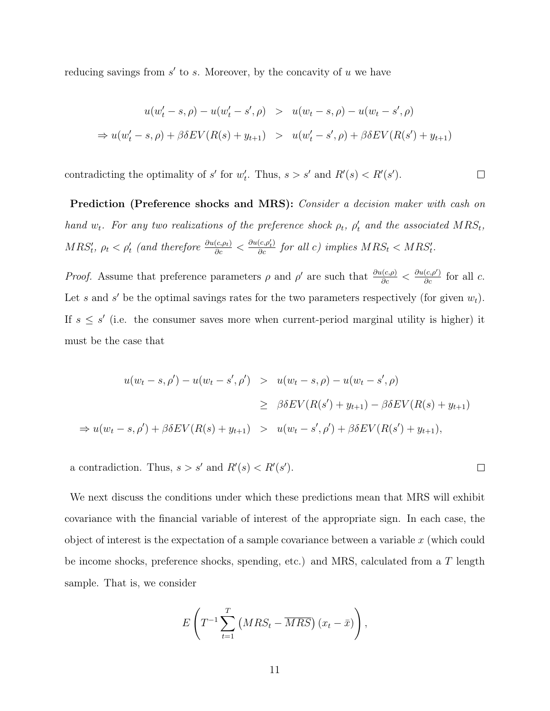reducing savings from  $s'$  to s. Moreover, by the concavity of u we have

$$
u(w'_t - s, \rho) - u(w'_t - s', \rho) > u(w_t - s, \rho) - u(w_t - s', \rho)
$$
  
\n
$$
\Rightarrow u(w'_t - s, \rho) + \beta \delta EV(R(s) + y_{t+1}) > u(w'_t - s', \rho) + \beta \delta EV(R(s') + y_{t+1})
$$

contradicting the optimality of s' for  $w'_t$ . Thus,  $s > s'$  and  $R'(s) < R'(s')$ .  $\Box$ 

Prediction (Preference shocks and MRS): *Consider a decision maker with cash on* hand  $w_t$ . For any two realizations of the preference shock  $\rho_t$ ,  $\rho'_t$  and the associated  $MRS_t$ ,  $MRS'_t$ ,  $\rho_t < \rho'_t$  (and therefore  $\frac{\partial u(c,\rho_t)}{\partial c} < \frac{\partial u(c,\rho'_t)}{\partial c}$  for all c) implies  $MRS_t < MRS'_t$ .

*Proof.* Assume that preference parameters  $\rho$  and  $\rho'$  are such that  $\frac{\partial u(c,\rho)}{\partial c} < \frac{\partial u(c,\rho')}{\partial c}$  for all c. Let s and s' be the optimal savings rates for the two parameters respectively (for given  $w_t$ ). If  $s \leq s'$  (i.e. the consumer saves more when current-period marginal utility is higher) it must be the case that

$$
u(w_t - s, \rho') - u(w_t - s', \rho') > u(w_t - s, \rho) - u(w_t - s', \rho)
$$
  
\n
$$
\geq \beta \delta EV(R(s') + y_{t+1}) - \beta \delta EV(R(s) + y_{t+1})
$$
  
\n
$$
\Rightarrow u(w_t - s, \rho') + \beta \delta EV(R(s) + y_{t+1}) > u(w_t - s', \rho') + \beta \delta EV(R(s') + y_{t+1}),
$$

 $\Box$ 

a contradiction. Thus,  $s > s'$  and  $R'(s) < R'(s')$ .

We next discuss the conditions under which these predictions mean that MRS will exhibit covariance with the financial variable of interest of the appropriate sign. In each case, the object of interest is the expectation of a sample covariance between a variable  $x$  (which could be income shocks, preference shocks, spending, etc.) and MRS, calculated from a T length sample. That is, we consider

$$
E\left(T^{-1}\sum_{t=1}^T\left(MRS_t - \overline{MRS}\right)(x_t - \bar{x})\right),\,
$$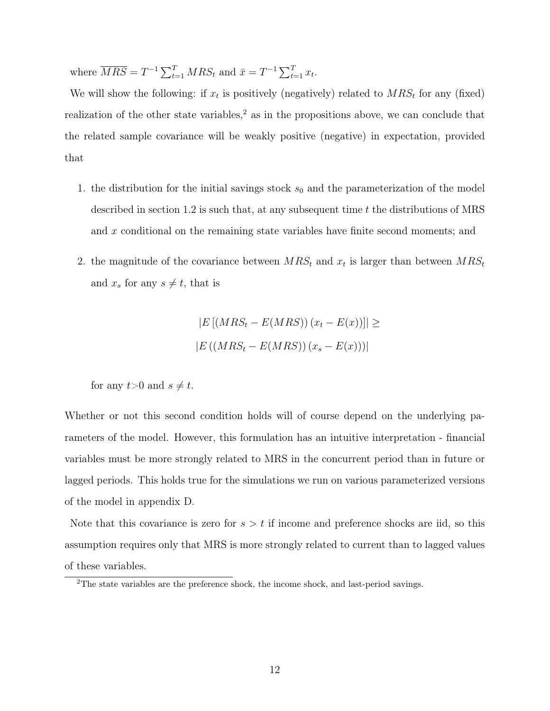where  $\overline{MRS} = T^{-1} \sum_{t=1}^{T} MRS_t$  and  $\bar{x} = T^{-1} \sum_{t=1}^{T} x_t$ .

We will show the following: if  $x_t$  is positively (negatively) related to  $MRS_t$  for any (fixed) realization of the other state variables, $<sup>2</sup>$  as in the propositions above, we can conclude that</sup> the related sample covariance will be weakly positive (negative) in expectation, provided that

- 1. the distribution for the initial savings stock  $s_0$  and the parameterization of the model described in section 1.2 is such that, at any subsequent time  $t$  the distributions of MRS and x conditional on the remaining state variables have finite second moments; and
- 2. the magnitude of the covariance between  $MRS_t$  and  $x_t$  is larger than between  $MRS_t$ and  $x_s$  for any  $s \neq t$ , that is

$$
|E[(MRS_t - E(MRS))(x_t - E(x))]| \ge
$$
  

$$
|E((MRS_t - E(MRS))(x_s - E(x)))|
$$

for any  $t>0$  and  $s \neq t$ .

Whether or not this second condition holds will of course depend on the underlying parameters of the model. However, this formulation has an intuitive interpretation - financial variables must be more strongly related to MRS in the concurrent period than in future or lagged periods. This holds true for the simulations we run on various parameterized versions of the model in appendix D.

Note that this covariance is zero for  $s > t$  if income and preference shocks are iid, so this assumption requires only that MRS is more strongly related to current than to lagged values of these variables.

<sup>&</sup>lt;sup>2</sup>The state variables are the preference shock, the income shock, and last-period savings.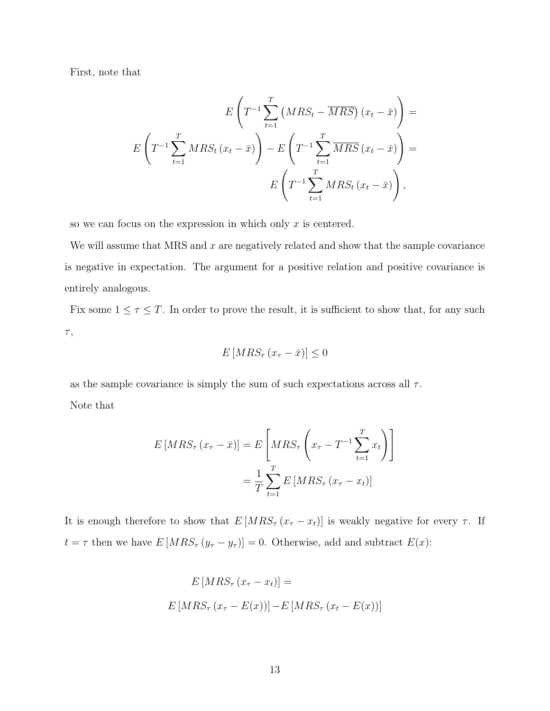First, note that

$$
E\left(T^{-1}\sum_{t=1}^{T} \left(MRS_t - \overline{MRS}\right)(x_t - \bar{x})\right) =
$$

$$
E\left(T^{-1}\sum_{t=1}^{T} MRS_t(x_t - \bar{x})\right) - E\left(T^{-1}\sum_{t=1}^{T} \overline{MRS}\left(x_t - \bar{x}\right)\right) =
$$

$$
E\left(T^{-1}\sum_{t=1}^{T} MRS_t(x_t - \bar{x})\right),
$$

so we can focus on the expression in which only  $x$  is centered.

We will assume that MRS and  $x$  are negatively related and show that the sample covariance is negative in expectation. The argument for a positive relation and positive covariance is entirely analogous.

Fix some  $1 \leq \tau \leq T$ . In order to prove the result, it is sufficient to show that, for any such  $\tau,$ 

$$
E\left[MRS_{\tau}\left(x_{\tau}-\bar{x}\right)\right]\leq0
$$

as the sample covariance is simply the sum of such expectations across all  $\tau$ . Note that

$$
E\left[MS_{\tau}\left(x_{\tau}-\bar{x}\right)\right] = E\left[MS_{\tau}\left(x_{\tau}-T^{-1}\sum_{t=1}^{T}x_{t}\right)\right]
$$

$$
=\frac{1}{T}\sum_{t=1}^{T}E\left[MS_{\tau}\left(x_{\tau}-x_{t}\right)\right]
$$

It is enough therefore to show that  $E[MRS_{\tau}(x_{\tau}-x_t)]$  is weakly negative for every  $\tau$ . If  $t = \tau$  then we have  $E\left[ MRS_{\tau} (y_{\tau} - y_{\tau}) \right] = 0$ . Otherwise, add and subtract  $E(x)$ :

$$
E\left[MRS_{\tau}\left(x_{\tau}-x_{t}\right)\right]=
$$

$$
E\left[MRS_{\tau}\left(x_{\tau}-E(x)\right)\right]-E\left[MRS_{\tau}\left(x_{t}-E(x)\right)\right]
$$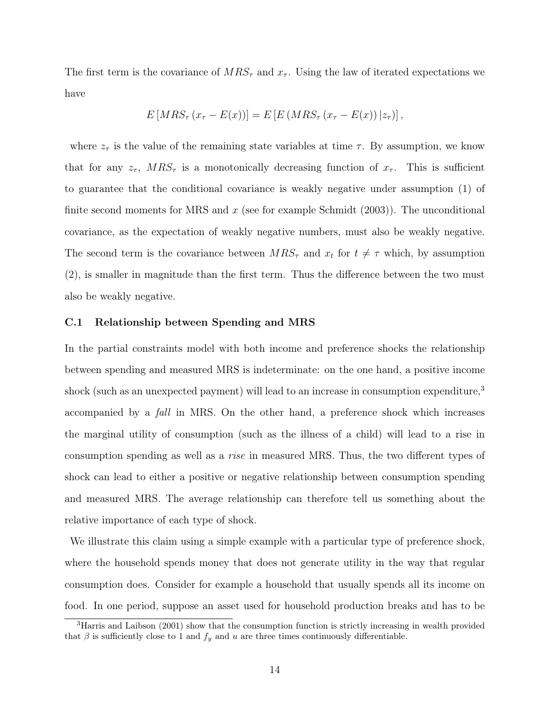The first term is the covariance of  $MRS_{\tau}$  and  $x_{\tau}$ . Using the law of iterated expectations we have

$$
E\left[MRS_{\tau}\left(x_{\tau}-E(x)\right)\right] = E\left[E\left(MRS_{\tau}\left(x_{\tau}-E(x)\right)|z_{\tau}\right)\right],
$$

where  $z_{\tau}$  is the value of the remaining state variables at time  $\tau$ . By assumption, we know that for any  $z_{\tau}$ ,  $MRS_{\tau}$  is a monotonically decreasing function of  $x_{\tau}$ . This is sufficient to guarantee that the conditional covariance is weakly negative under assumption (1) of finite second moments for MRS and  $x$  (see for example Schmidt (2003)). The unconditional covariance, as the expectation of weakly negative numbers, must also be weakly negative. The second term is the covariance between  $MRS_{\tau}$  and  $x_t$  for  $t \neq \tau$  which, by assumption (2), is smaller in magnitude than the first term. Thus the difference between the two must also be weakly negative.

#### C.1 Relationship between Spending and MRS

In the partial constraints model with both income and preference shocks the relationship between spending and measured MRS is indeterminate: on the one hand, a positive income shock (such as an unexpected payment) will lead to an increase in consumption expenditure,<sup>3</sup> accompanied by a fall in MRS. On the other hand, a preference shock which increases the marginal utility of consumption (such as the illness of a child) will lead to a rise in consumption spending as well as a rise in measured MRS. Thus, the two different types of shock can lead to either a positive or negative relationship between consumption spending and measured MRS. The average relationship can therefore tell us something about the relative importance of each type of shock.

We illustrate this claim using a simple example with a particular type of preference shock, where the household spends money that does not generate utility in the way that regular consumption does. Consider for example a household that usually spends all its income on food. In one period, suppose an asset used for household production breaks and has to be

<sup>3</sup>Harris and Laibson (2001) show that the consumption function is strictly increasing in wealth provided that  $\beta$  is sufficiently close to 1 and  $f_y$  and u are three times continuously differentiable.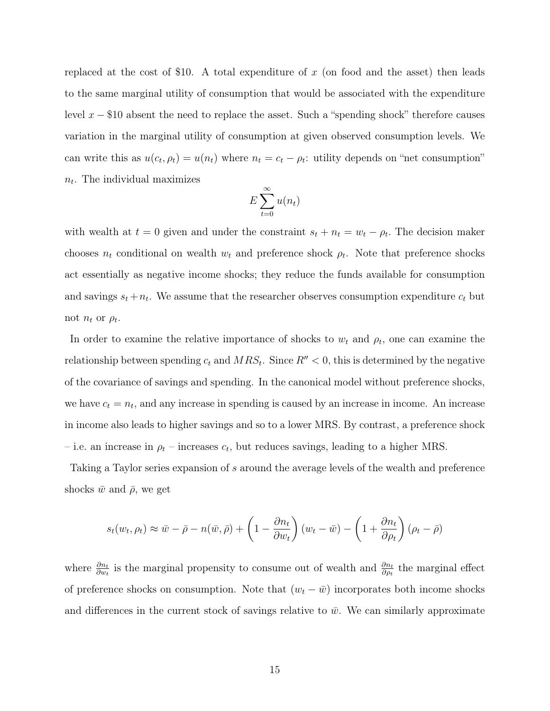replaced at the cost of \$10. A total expenditure of  $x$  (on food and the asset) then leads to the same marginal utility of consumption that would be associated with the expenditure level  $x - $10$  absent the need to replace the asset. Such a "spending shock" therefore causes variation in the marginal utility of consumption at given observed consumption levels. We can write this as  $u(c_t, \rho_t) = u(n_t)$  where  $n_t = c_t - \rho_t$ : utility depends on "net consumption"  $n_t$ . The individual maximizes

$$
E\sum_{t=0}^{\infty}u(n_t)
$$

with wealth at  $t = 0$  given and under the constraint  $s_t + n_t = w_t - \rho_t$ . The decision maker chooses  $n_t$  conditional on wealth  $w_t$  and preference shock  $\rho_t$ . Note that preference shocks act essentially as negative income shocks; they reduce the funds available for consumption and savings  $s_t + n_t$ . We assume that the researcher observes consumption expenditure  $c_t$  but not  $n_t$  or  $\rho_t$ .

In order to examine the relative importance of shocks to  $w_t$  and  $\rho_t$ , one can examine the relationship between spending  $c_t$  and  $MRS_t$ . Since  $R'' < 0$ , this is determined by the negative of the covariance of savings and spending. In the canonical model without preference shocks, we have  $c_t = n_t$ , and any increase in spending is caused by an increase in income. An increase in income also leads to higher savings and so to a lower MRS. By contrast, a preference shock – i.e. an increase in  $\rho_t$  – increases  $c_t$ , but reduces savings, leading to a higher MRS.

Taking a Taylor series expansion of s around the average levels of the wealth and preference shocks  $\bar{w}$  and  $\bar{\rho}$ , we get

$$
s_t(w_t, \rho_t) \approx \bar{w} - \bar{\rho} - n(\bar{w}, \bar{\rho}) + \left(1 - \frac{\partial n_t}{\partial w_t}\right)(w_t - \bar{w}) - \left(1 + \frac{\partial n_t}{\partial \rho_t}\right)(\rho_t - \bar{\rho})
$$

where  $\frac{\partial n_t}{\partial w_t}$  is the marginal propensity to consume out of wealth and  $\frac{\partial n_t}{\partial \rho_t}$  the marginal effect of preference shocks on consumption. Note that  $(w_t - \bar{w})$  incorporates both income shocks and differences in the current stock of savings relative to  $\bar{w}$ . We can similarly approximate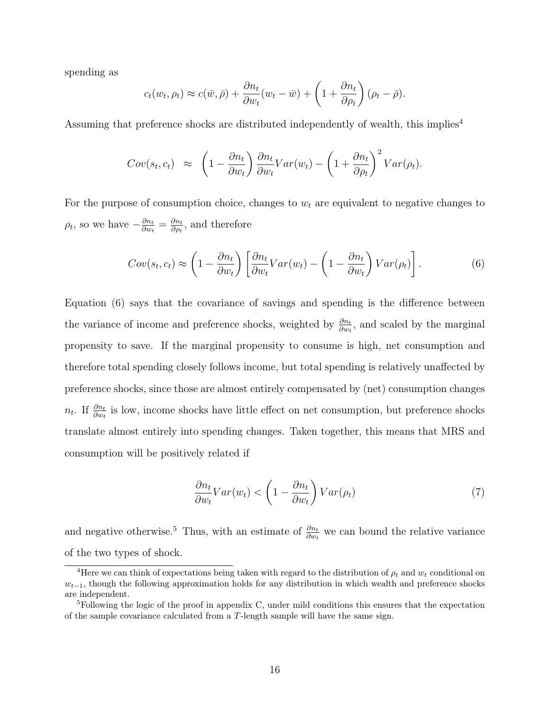spending as

$$
c_t(w_t, \rho_t) \approx c(\bar{w}, \bar{\rho}) + \frac{\partial n_t}{\partial w_t}(w_t - \bar{w}) + \left(1 + \frac{\partial n_t}{\partial \rho_t}\right)(\rho_t - \bar{\rho}).
$$

Assuming that preference shocks are distributed independently of wealth, this implies<sup>4</sup>

$$
Cov(s_t, c_t) \approx \left(1 - \frac{\partial n_t}{\partial w_t}\right) \frac{\partial n_t}{\partial w_t} Var(w_t) - \left(1 + \frac{\partial n_t}{\partial \rho_t}\right)^2 Var(\rho_t).
$$

For the purpose of consumption choice, changes to  $w<sub>t</sub>$  are equivalent to negative changes to  $\rho_t$ , so we have  $-\frac{\partial n_t}{\partial w_t}$  $\frac{\partial n_t}{\partial w_t} = \frac{\partial n_t}{\partial \rho_t}$  $\frac{\partial n_t}{\partial \rho_t}$ , and therefore

$$
Cov(s_t, c_t) \approx \left(1 - \frac{\partial n_t}{\partial w_t}\right) \left[\frac{\partial n_t}{\partial w_t} Var(w_t) - \left(1 - \frac{\partial n_t}{\partial w_t}\right) Var(\rho_t)\right].
$$
 (6)

Equation (6) says that the covariance of savings and spending is the difference between the variance of income and preference shocks, weighted by  $\frac{\partial n_t}{\partial w_t}$ , and scaled by the marginal propensity to save. If the marginal propensity to consume is high, net consumption and therefore total spending closely follows income, but total spending is relatively unaffected by preference shocks, since those are almost entirely compensated by (net) consumption changes  $n_t$ . If  $\frac{\partial n_t}{\partial w_t}$  is low, income shocks have little effect on net consumption, but preference shocks translate almost entirely into spending changes. Taken together, this means that MRS and consumption will be positively related if

$$
\frac{\partial n_t}{\partial w_t} Var(w_t) < \left(1 - \frac{\partial n_t}{\partial w_t}\right) Var(\rho_t) \tag{7}
$$

and negative otherwise.<sup>5</sup> Thus, with an estimate of  $\frac{\partial n_t}{\partial w_t}$  we can bound the relative variance of the two types of shock.

<sup>&</sup>lt;sup>4</sup>Here we can think of expectations being taken with regard to the distribution of  $\rho_t$  and  $w_t$  conditional on  $w_{t-1}$ , though the following approximation holds for any distribution in which wealth and preference shocks are independent.

<sup>5</sup>Following the logic of the proof in appendix C, under mild conditions this ensures that the expectation of the sample covariance calculated from a T-length sample will have the same sign.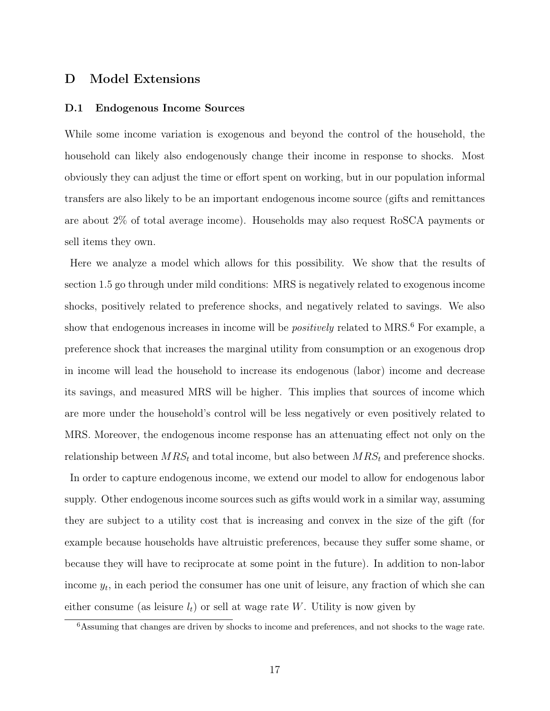# D Model Extensions

### D.1 Endogenous Income Sources

While some income variation is exogenous and beyond the control of the household, the household can likely also endogenously change their income in response to shocks. Most obviously they can adjust the time or effort spent on working, but in our population informal transfers are also likely to be an important endogenous income source (gifts and remittances are about 2% of total average income). Households may also request RoSCA payments or sell items they own.

Here we analyze a model which allows for this possibility. We show that the results of section 1.5 go through under mild conditions: MRS is negatively related to exogenous income shocks, positively related to preference shocks, and negatively related to savings. We also show that endogenous increases in income will be *positively* related to MRS.<sup>6</sup> For example, a preference shock that increases the marginal utility from consumption or an exogenous drop in income will lead the household to increase its endogenous (labor) income and decrease its savings, and measured MRS will be higher. This implies that sources of income which are more under the household's control will be less negatively or even positively related to MRS. Moreover, the endogenous income response has an attenuating effect not only on the relationship between  $MRS_t$  and total income, but also between  $MRS_t$  and preference shocks.

In order to capture endogenous income, we extend our model to allow for endogenous labor supply. Other endogenous income sources such as gifts would work in a similar way, assuming they are subject to a utility cost that is increasing and convex in the size of the gift (for example because households have altruistic preferences, because they suffer some shame, or because they will have to reciprocate at some point in the future). In addition to non-labor income  $y_t$ , in each period the consumer has one unit of leisure, any fraction of which she can either consume (as leisure  $l_t$ ) or sell at wage rate W. Utility is now given by

<sup>6</sup>Assuming that changes are driven by shocks to income and preferences, and not shocks to the wage rate.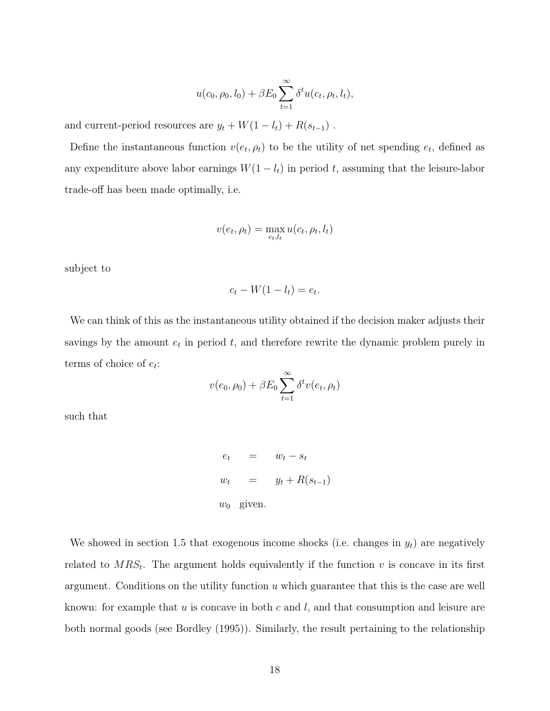$$
u(c_0, \rho_0, l_0) + \beta E_0 \sum_{t=1}^{\infty} \delta^t u(c_t, \rho_t, l_t),
$$

and current-period resources are  $y_t + W(1 - l_t) + R(s_{t-1})$ .

Define the instantaneous function  $v(e_t, \rho_t)$  to be the utility of net spending  $e_t$ , defined as any expenditure above labor earnings  $W(1 - l_t)$  in period t, assuming that the leisure-labor trade-off has been made optimally, i.e.

$$
v(e_t, \rho_t) = \max_{c_t, l_t} u(c_t, \rho_t, l_t)
$$

subject to

$$
c_t - W(1 - l_t) = e_t.
$$

We can think of this as the instantaneous utility obtained if the decision maker adjusts their savings by the amount  $e_t$  in period  $t$ , and therefore rewrite the dynamic problem purely in terms of choice of  $e_t$ :

$$
v(e_0, \rho_0) + \beta E_0 \sum_{t=1}^{\infty} \delta^t v(e_t, \rho_t)
$$

such that

$$
e_t = w_t - s_t
$$
  
\n
$$
w_t = y_t + R(s_{t-1})
$$
  
\n
$$
w_0 \text{ given.}
$$

We showed in section 1.5 that exogenous income shocks (i.e. changes in  $y_t$ ) are negatively related to  $MRS_t$ . The argument holds equivalently if the function v is concave in its first argument. Conditions on the utility function  $u$  which guarantee that this is the case are well known: for example that  $u$  is concave in both  $c$  and  $l$ , and that consumption and leisure are both normal goods (see Bordley (1995)). Similarly, the result pertaining to the relationship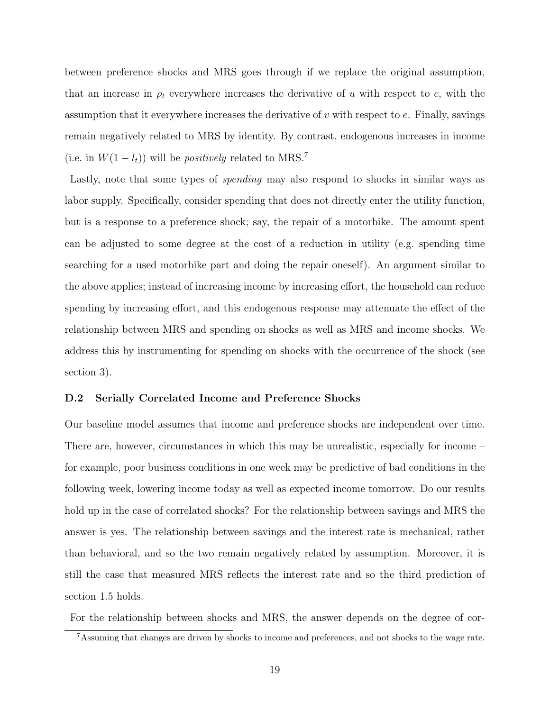between preference shocks and MRS goes through if we replace the original assumption, that an increase in  $\rho_t$  everywhere increases the derivative of u with respect to c, with the assumption that it everywhere increases the derivative of  $v$  with respect to  $e$ . Finally, savings remain negatively related to MRS by identity. By contrast, endogenous increases in income (i.e. in  $W(1 - l_t)$ ) will be *positively* related to MRS.<sup>7</sup>

Lastly, note that some types of *spending* may also respond to shocks in similar ways as labor supply. Specifically, consider spending that does not directly enter the utility function, but is a response to a preference shock; say, the repair of a motorbike. The amount spent can be adjusted to some degree at the cost of a reduction in utility (e.g. spending time searching for a used motorbike part and doing the repair oneself). An argument similar to the above applies; instead of increasing income by increasing effort, the household can reduce spending by increasing effort, and this endogenous response may attenuate the effect of the relationship between MRS and spending on shocks as well as MRS and income shocks. We address this by instrumenting for spending on shocks with the occurrence of the shock (see section 3).

#### D.2 Serially Correlated Income and Preference Shocks

Our baseline model assumes that income and preference shocks are independent over time. There are, however, circumstances in which this may be unrealistic, especially for income – for example, poor business conditions in one week may be predictive of bad conditions in the following week, lowering income today as well as expected income tomorrow. Do our results hold up in the case of correlated shocks? For the relationship between savings and MRS the answer is yes. The relationship between savings and the interest rate is mechanical, rather than behavioral, and so the two remain negatively related by assumption. Moreover, it is still the case that measured MRS reflects the interest rate and so the third prediction of section 1.5 holds.

For the relationship between shocks and MRS, the answer depends on the degree of cor-

<sup>7</sup>Assuming that changes are driven by shocks to income and preferences, and not shocks to the wage rate.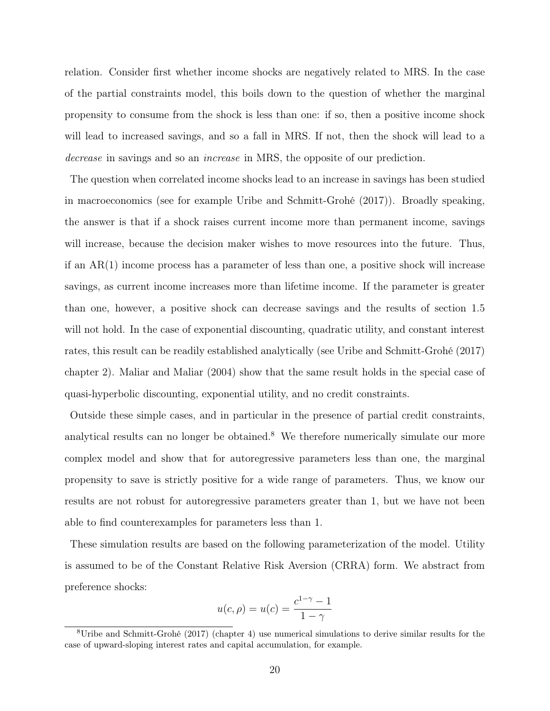relation. Consider first whether income shocks are negatively related to MRS. In the case of the partial constraints model, this boils down to the question of whether the marginal propensity to consume from the shock is less than one: if so, then a positive income shock will lead to increased savings, and so a fall in MRS. If not, then the shock will lead to a decrease in savings and so an *increase* in MRS, the opposite of our prediction.

The question when correlated income shocks lead to an increase in savings has been studied in macroeconomics (see for example Uribe and Schmitt-Grohé (2017)). Broadly speaking, the answer is that if a shock raises current income more than permanent income, savings will increase, because the decision maker wishes to move resources into the future. Thus, if an AR(1) income process has a parameter of less than one, a positive shock will increase savings, as current income increases more than lifetime income. If the parameter is greater than one, however, a positive shock can decrease savings and the results of section 1.5 will not hold. In the case of exponential discounting, quadratic utility, and constant interest rates, this result can be readily established analytically (see Uribe and Schmitt-Grohé (2017) chapter 2). Maliar and Maliar (2004) show that the same result holds in the special case of quasi-hyperbolic discounting, exponential utility, and no credit constraints.

Outside these simple cases, and in particular in the presence of partial credit constraints, analytical results can no longer be obtained.<sup>8</sup> We therefore numerically simulate our more complex model and show that for autoregressive parameters less than one, the marginal propensity to save is strictly positive for a wide range of parameters. Thus, we know our results are not robust for autoregressive parameters greater than 1, but we have not been able to find counterexamples for parameters less than 1.

These simulation results are based on the following parameterization of the model. Utility is assumed to be of the Constant Relative Risk Aversion (CRRA) form. We abstract from preference shocks:

$$
u(c, \rho) = u(c) = \frac{c^{1-\gamma} - 1}{1 - \gamma}
$$

<sup>8</sup>Uribe and Schmitt-Grohé (2017) (chapter 4) use numerical simulations to derive similar results for the case of upward-sloping interest rates and capital accumulation, for example.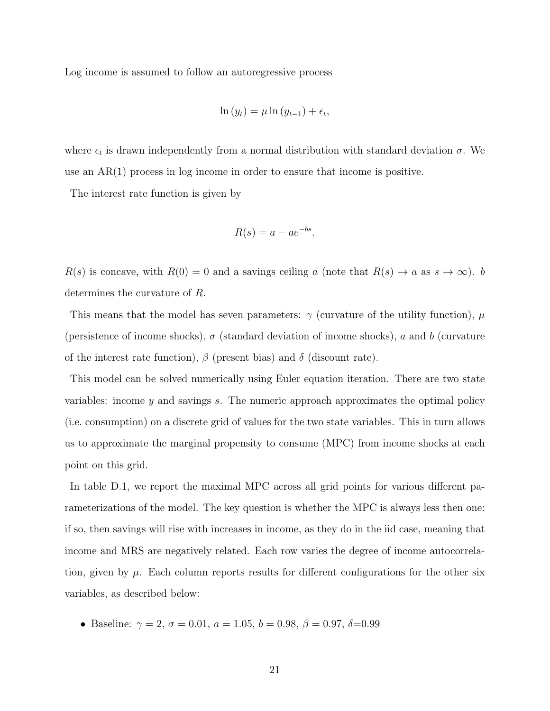Log income is assumed to follow an autoregressive process

$$
\ln(y_t) = \mu \ln(y_{t-1}) + \epsilon_t,
$$

where  $\epsilon_t$  is drawn independently from a normal distribution with standard deviation  $\sigma$ . We use an  $AR(1)$  process in log income in order to ensure that income is positive.

The interest rate function is given by

$$
R(s) = a - ae^{-bs}.
$$

 $R(s)$  is concave, with  $R(0) = 0$  and a savings ceiling a (note that  $R(s) \to a$  as  $s \to \infty$ ). b determines the curvature of R.

This means that the model has seven parameters:  $\gamma$  (curvature of the utility function),  $\mu$ (persistence of income shocks),  $\sigma$  (standard deviation of income shocks), a and b (curvature of the interest rate function),  $\beta$  (present bias) and  $\delta$  (discount rate).

This model can be solved numerically using Euler equation iteration. There are two state variables: income  $y$  and savings  $s$ . The numeric approach approximates the optimal policy (i.e. consumption) on a discrete grid of values for the two state variables. This in turn allows us to approximate the marginal propensity to consume (MPC) from income shocks at each point on this grid.

In table D.1, we report the maximal MPC across all grid points for various different parameterizations of the model. The key question is whether the MPC is always less then one: if so, then savings will rise with increases in income, as they do in the iid case, meaning that income and MRS are negatively related. Each row varies the degree of income autocorrelation, given by  $\mu$ . Each column reports results for different configurations for the other six variables, as described below:

• Baseline:  $\gamma = 2, \sigma = 0.01, a = 1.05, b = 0.98, \beta = 0.97, \delta = 0.99$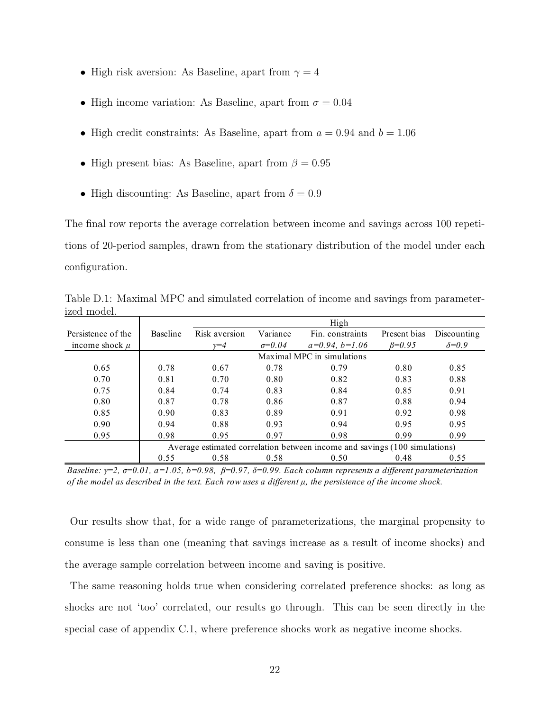- High risk aversion: As Baseline, apart from  $\gamma = 4$
- High income variation: As Baseline, apart from  $\sigma = 0.04$
- High credit constraints: As Baseline, apart from  $a = 0.94$  and  $b = 1.06$
- High present bias: As Baseline, apart from  $\beta = 0.95$
- High discounting: As Baseline, apart from  $\delta = 0.9$

The final row reports the average correlation between income and savings across 100 repetitions of 20-period samples, drawn from the stationary distribution of the model under each configuration.

|                    |                 | High                                                                       |                 |                            |              |                |  |  |
|--------------------|-----------------|----------------------------------------------------------------------------|-----------------|----------------------------|--------------|----------------|--|--|
| Persistence of the | <b>Baseline</b> | Risk aversion                                                              | Variance        | Fin. constraints           | Present bias | Discounting    |  |  |
| income shock $\mu$ |                 | $\nu = 4$                                                                  | $\sigma = 0.04$ | $a=0.94, b=1.06$           | $B=0.95$     | $\delta = 0.9$ |  |  |
|                    |                 |                                                                            |                 | Maximal MPC in simulations |              |                |  |  |
| 0.65               | 0.78            | 0.67                                                                       | 0.78            | 0.79                       | 0.80         | 0.85           |  |  |
| 0.70               | 0.81            | 0.70                                                                       | 0.80            | 0.82                       | 0.83         | 0.88           |  |  |
| 0.75               | 0.84            | 0.74                                                                       | 0.83            | 0.84                       | 0.85         | 0.91           |  |  |
| 0.80               | 0.87            | 0.78                                                                       | 0.86            | 0.87                       | 0.88         | 0.94           |  |  |
| 0.85               | 0.90            | 0.83                                                                       | 0.89            | 0.91                       | 0.92         | 0.98           |  |  |
| 0.90               | 0.94            | 0.88                                                                       | 0.93            | 0.94                       | 0.95         | 0.95           |  |  |
| 0.95               | 0.98            | 0.95                                                                       | 0.97            | 0.98                       | 0.99         | 0.99           |  |  |
|                    |                 | Average estimated correlation between income and savings (100 simulations) |                 |                            |              |                |  |  |
|                    | 0.55            | 0.58                                                                       | 0.58            | 0.50                       | 0.48         | 0.55           |  |  |

Table D.1: Maximal MPC and simulated correlation of income and savings from parameterized model.

*Baseline: γ=2, σ=0.01, a=1.05, b=0.98, β=0.97, δ=0.99. Each column represents a different parameterization of the model as described in the text. Each row uses a different µ, the persistence of the income shock.*

Our results show that, for a wide range of parameterizations, the marginal propensity to consume is less than one (meaning that savings increase as a result of income shocks) and the average sample correlation between income and saving is positive.

The same reasoning holds true when considering correlated preference shocks: as long as shocks are not 'too' correlated, our results go through. This can be seen directly in the special case of appendix C.1, where preference shocks work as negative income shocks.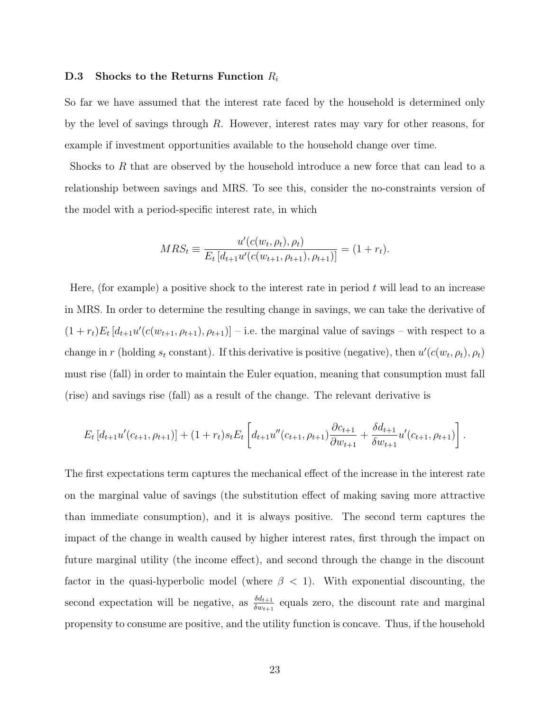### D.3 Shocks to the Returns Function  $R_i$

So far we have assumed that the interest rate faced by the household is determined only by the level of savings through R. However, interest rates may vary for other reasons, for example if investment opportunities available to the household change over time.

Shocks to R that are observed by the household introduce a new force that can lead to a relationship between savings and MRS. To see this, consider the no-constraints version of the model with a period-specific interest rate, in which

$$
MRS_t \equiv \frac{u'(c(w_t, \rho_t), \rho_t)}{E_t [d_{t+1} u'(c(w_{t+1}, \rho_{t+1}), \rho_{t+1})]} = (1 + r_t).
$$

Here, (for example) a positive shock to the interest rate in period  $t$  will lead to an increase in MRS. In order to determine the resulting change in savings, we can take the derivative of  $(1 + r_t)E_t[d_{t+1}u'(c(w_{t+1}, \rho_{t+1}), \rho_{t+1})]$  – i.e. the marginal value of savings – with respect to a change in r (holding  $s_t$  constant). If this derivative is positive (negative), then  $u'(c(w_t, \rho_t), \rho_t)$ must rise (fall) in order to maintain the Euler equation, meaning that consumption must fall (rise) and savings rise (fall) as a result of the change. The relevant derivative is

$$
E_t\left[d_{t+1}u'(c_{t+1},\rho_{t+1})\right] + (1+r_t)s_t E_t\left[d_{t+1}u''(c_{t+1},\rho_{t+1})\frac{\partial c_{t+1}}{\partial w_{t+1}} + \frac{\delta d_{t+1}}{\delta w_{t+1}}u'(c_{t+1},\rho_{t+1})\right].
$$

The first expectations term captures the mechanical effect of the increase in the interest rate on the marginal value of savings (the substitution effect of making saving more attractive than immediate consumption), and it is always positive. The second term captures the impact of the change in wealth caused by higher interest rates, first through the impact on future marginal utility (the income effect), and second through the change in the discount factor in the quasi-hyperbolic model (where  $\beta$  < 1). With exponential discounting, the second expectation will be negative, as  $\frac{\delta d_{t+1}}{\delta w_{t+1}}$  equals zero, the discount rate and marginal propensity to consume are positive, and the utility function is concave. Thus, if the household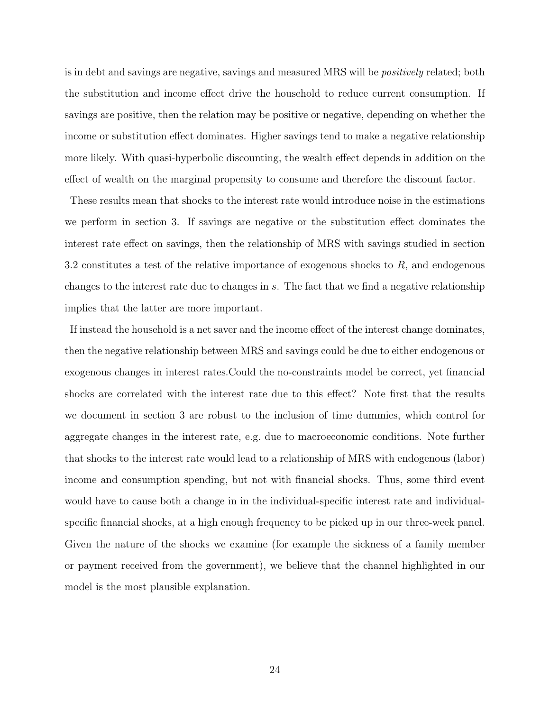is in debt and savings are negative, savings and measured MRS will be *positively* related; both the substitution and income effect drive the household to reduce current consumption. If savings are positive, then the relation may be positive or negative, depending on whether the income or substitution effect dominates. Higher savings tend to make a negative relationship more likely. With quasi-hyperbolic discounting, the wealth effect depends in addition on the effect of wealth on the marginal propensity to consume and therefore the discount factor.

These results mean that shocks to the interest rate would introduce noise in the estimations we perform in section 3. If savings are negative or the substitution effect dominates the interest rate effect on savings, then the relationship of MRS with savings studied in section 3.2 constitutes a test of the relative importance of exogenous shocks to  $R$ , and endogenous changes to the interest rate due to changes in s. The fact that we find a negative relationship implies that the latter are more important.

If instead the household is a net saver and the income effect of the interest change dominates, then the negative relationship between MRS and savings could be due to either endogenous or exogenous changes in interest rates.Could the no-constraints model be correct, yet financial shocks are correlated with the interest rate due to this effect? Note first that the results we document in section 3 are robust to the inclusion of time dummies, which control for aggregate changes in the interest rate, e.g. due to macroeconomic conditions. Note further that shocks to the interest rate would lead to a relationship of MRS with endogenous (labor) income and consumption spending, but not with financial shocks. Thus, some third event would have to cause both a change in in the individual-specific interest rate and individualspecific financial shocks, at a high enough frequency to be picked up in our three-week panel. Given the nature of the shocks we examine (for example the sickness of a family member or payment received from the government), we believe that the channel highlighted in our model is the most plausible explanation.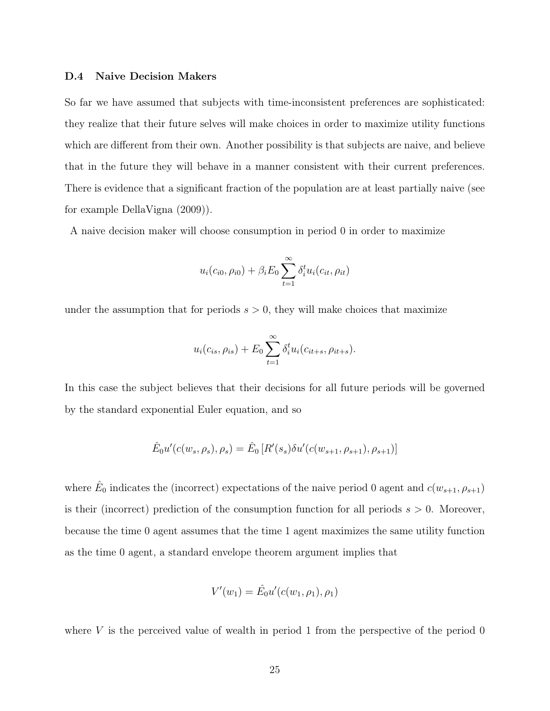#### D.4 Naive Decision Makers

So far we have assumed that subjects with time-inconsistent preferences are sophisticated: they realize that their future selves will make choices in order to maximize utility functions which are different from their own. Another possibility is that subjects are naive, and believe that in the future they will behave in a manner consistent with their current preferences. There is evidence that a significant fraction of the population are at least partially naive (see for example DellaVigna (2009)).

A naive decision maker will choose consumption in period 0 in order to maximize

$$
u_i(c_{i0}, \rho_{i0}) + \beta_i E_0 \sum_{t=1}^{\infty} \delta_i^t u_i(c_{it}, \rho_{it})
$$

under the assumption that for periods  $s > 0$ , they will make choices that maximize

$$
u_i(c_{is}, \rho_{is}) + E_0 \sum_{t=1}^{\infty} \delta_i^t u_i(c_{it+s}, \rho_{it+s}).
$$

In this case the subject believes that their decisions for all future periods will be governed by the standard exponential Euler equation, and so

$$
\hat{E}_0 u'(c(w_s, \rho_s), \rho_s) = \hat{E}_0 [R'(s_s) \delta u'(c(w_{s+1}, \rho_{s+1}), \rho_{s+1})]
$$

where  $\hat{E}_0$  indicates the (incorrect) expectations of the naive period 0 agent and  $c(w_{s+1}, \rho_{s+1})$ is their (incorrect) prediction of the consumption function for all periods  $s > 0$ . Moreover, because the time 0 agent assumes that the time 1 agent maximizes the same utility function as the time 0 agent, a standard envelope theorem argument implies that

$$
V'(w_1) = \hat{E}_0 u'(c(w_1, \rho_1), \rho_1)
$$

where  $V$  is the perceived value of wealth in period 1 from the perspective of the period 0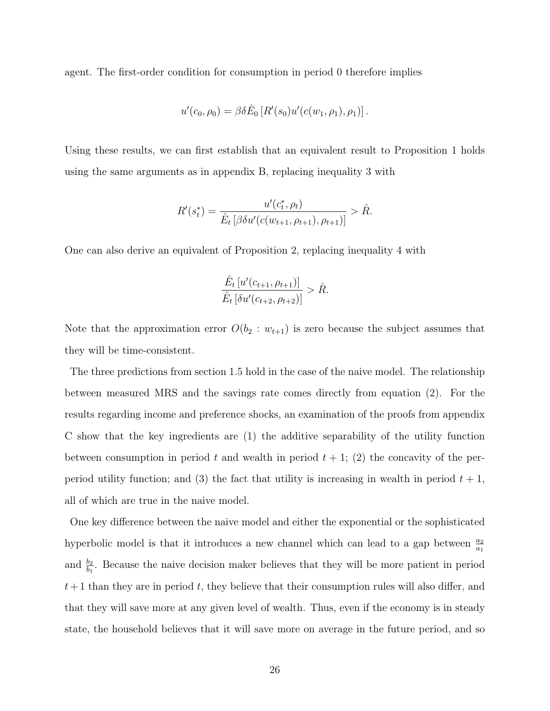agent. The first-order condition for consumption in period 0 therefore implies

$$
u'(c_0, \rho_0) = \beta \delta \hat{E}_0 \left[ R'(s_0) u'(c(w_1, \rho_1), \rho_1) \right].
$$

Using these results, we can first establish that an equivalent result to Proposition 1 holds using the same arguments as in appendix B, replacing inequality 3 with

$$
R'(s_t^*) = \frac{u'(c_t^*, \rho_t)}{\hat{E}_t \left[ \beta \delta u'(c(w_{t+1}, \rho_{t+1}), \rho_{t+1}) \right]} > \hat{R}.
$$

One can also derive an equivalent of Proposition 2, replacing inequality 4 with

$$
\frac{\hat{E}_t [u'(c_{t+1}, \rho_{t+1})]}{\hat{E}_t [\delta u'(c_{t+2}, \rho_{t+2})]} > \hat{R}.
$$

Note that the approximation error  $O(b_2 : w_{t+1})$  is zero because the subject assumes that they will be time-consistent.

The three predictions from section 1.5 hold in the case of the naive model. The relationship between measured MRS and the savings rate comes directly from equation (2). For the results regarding income and preference shocks, an examination of the proofs from appendix C show that the key ingredients are (1) the additive separability of the utility function between consumption in period t and wealth in period  $t + 1$ ; (2) the concavity of the perperiod utility function; and (3) the fact that utility is increasing in wealth in period  $t + 1$ , all of which are true in the naive model.

One key difference between the naive model and either the exponential or the sophisticated hyperbolic model is that it introduces a new channel which can lead to a gap between  $\frac{a_2}{a_1}$ and  $\frac{b_2}{b_1}$ . Because the naive decision maker believes that they will be more patient in period  $t+1$  than they are in period t, they believe that their consumption rules will also differ, and that they will save more at any given level of wealth. Thus, even if the economy is in steady state, the household believes that it will save more on average in the future period, and so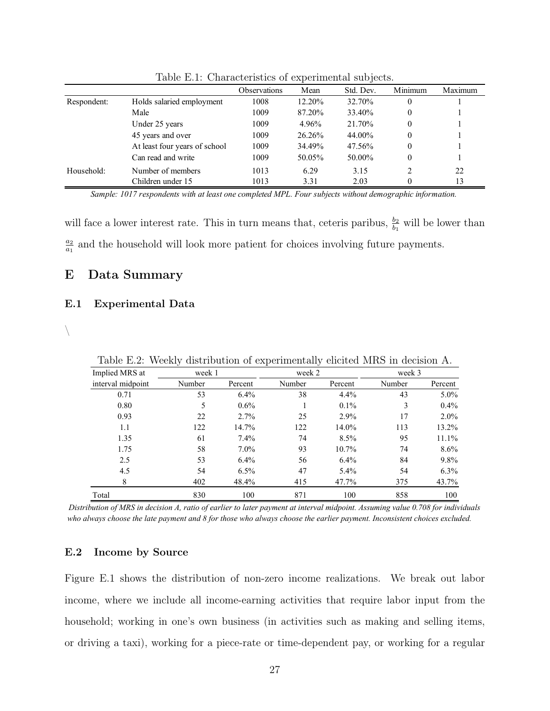|             |                               | <b>Observations</b> | Mean   | $\cdot$<br>Std. Dev. | Minimum  | Maximum |
|-------------|-------------------------------|---------------------|--------|----------------------|----------|---------|
| Respondent: | Holds salaried employment     | 1008                | 12.20% | 32.70%               | 0        |         |
|             | Male                          | 1009                | 87.20% | 33.40%               | 0        |         |
|             | Under 25 years                | 1009                | 4.96%  | 21.70%               | 0        |         |
|             | 45 years and over             | 1009                | 26.26% | 44.00%               | $\Omega$ |         |
|             | At least four years of school | 1009                | 34.49% | 47.56%               | 0        |         |
|             | Can read and write            | 1009                | 50.05% | 50.00%               | 0        |         |
| Household:  | Number of members             | 1013                | 6.29   | 3.15                 |          | 22      |
|             | Children under 15             | 1013                | 3.31   | 2.03                 |          | 13      |

Table E.1: Characteristics of experimental subjects.

*Sample: 1017 respondents with at least one completed MPL. Four subjects without demographic information.*

will face a lower interest rate. This in turn means that, ceteris paribus,  $\frac{b_2}{b_1}$  will be lower than  $a_2$  $\frac{a_2}{a_1}$  and the household will look more patient for choices involving future payments.

# E Data Summary

#### E.1 Experimental Data

 $\setminus$ 

| Implied MRS at    | week 1 |         | week 2 |          | week 3 |         |
|-------------------|--------|---------|--------|----------|--------|---------|
| interval midpoint | Number | Percent | Number | Percent  | Number | Percent |
| 0.71              | 53     | $6.4\%$ | 38     | 4.4%     | 43     | $5.0\%$ |
| 0.80              | 5      | $0.6\%$ |        | $0.1\%$  | 3      | $0.4\%$ |
| 0.93              | 22     | $2.7\%$ | 25     | 2.9%     | 17     | $2.0\%$ |
| 1.1               | 122    | 14.7%   | 122    | 14.0%    | 113    | 13.2%   |
| 1.35              | 61     | 7.4%    | 74     | 8.5%     | 95     | 11.1%   |
| 1.75              | 58     | $7.0\%$ | 93     | $10.7\%$ | 74     | $8.6\%$ |
| 2.5               | 53     | $6.4\%$ | 56     | 6.4%     | 84     | $9.8\%$ |
| 4.5               | 54     | 6.5%    | 47     | $5.4\%$  | 54     | $6.3\%$ |
| 8                 | 402    | 48.4%   | 415    | 47.7%    | 375    | 43.7%   |
| Total             | 830    | 100     | 871    | 100      | 858    | 100     |

Table E.2: Weekly distribution of experimentally elicited MRS in decision A.

*Distribution of MRS in decision A, ratio of earlier to later payment at interval midpoint. Assuming value 0.708 for individuals who always choose the late payment and 8 for those who always choose the earlier payment. Inconsistent choices excluded.*

### E.2 Income by Source

Figure E.1 shows the distribution of non-zero income realizations. We break out labor income, where we include all income-earning activities that require labor input from the household; working in one's own business (in activities such as making and selling items, or driving a taxi), working for a piece-rate or time-dependent pay, or working for a regular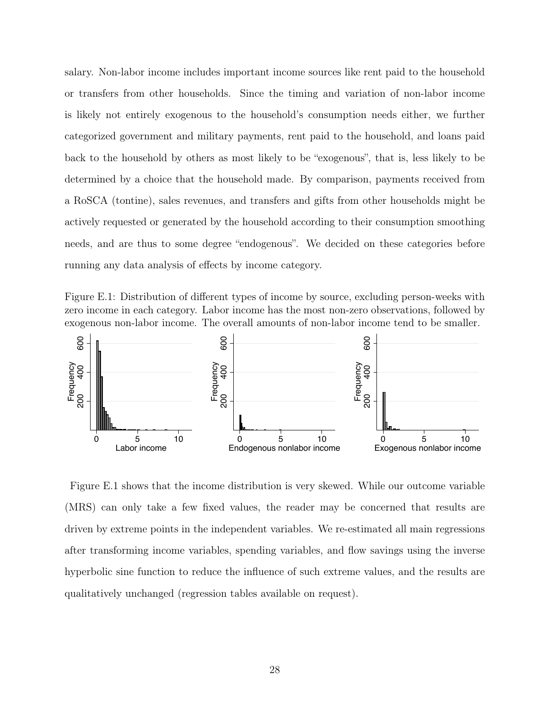salary. Non-labor income includes important income sources like rent paid to the household or transfers from other households. Since the timing and variation of non-labor income is likely not entirely exogenous to the household's consumption needs either, we further categorized government and military payments, rent paid to the household, and loans paid back to the household by others as most likely to be "exogenous", that is, less likely to be determined by a choice that the household made. By comparison, payments received from a RoSCA (tontine), sales revenues, and transfers and gifts from other households might be actively requested or generated by the household according to their consumption smoothing needs, and are thus to some degree "endogenous". We decided on these categories before running any data analysis of effects by income category.

Figure E.1: Distribution of different types of income by source, excluding person-weeks with zero income in each category. Labor income has the most non-zero observations, followed by exogenous non-labor income. The overall amounts of non-labor income tend to be smaller.



Figure E.1 shows that the income distribution is very skewed. While our outcome variable (MRS) can only take a few fixed values, the reader may be concerned that results are driven by extreme points in the independent variables. We re-estimated all main regressions after transforming income variables, spending variables, and flow savings using the inverse hyperbolic sine function to reduce the influence of such extreme values, and the results are qualitatively unchanged (regression tables available on request).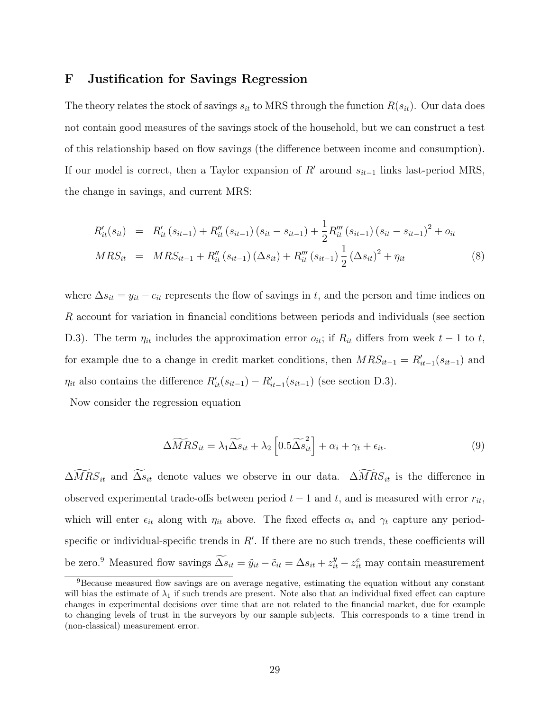## F Justification for Savings Regression

The theory relates the stock of savings  $s_{it}$  to MRS through the function  $R(s_{it})$ . Our data does not contain good measures of the savings stock of the household, but we can construct a test of this relationship based on flow savings (the difference between income and consumption). If our model is correct, then a Taylor expansion of R' around  $s_{it-1}$  links last-period MRS, the change in savings, and current MRS:

$$
R'_{it}(s_{it}) = R'_{it}(s_{it-1}) + R''_{it}(s_{it-1})(s_{it} - s_{it-1}) + \frac{1}{2}R'''_{it}(s_{it-1})(s_{it} - s_{it-1})^2 + o_{it}
$$
  
\n
$$
MRS_{it} = MRS_{it-1} + R''_{it}(s_{it-1})(\Delta s_{it}) + R'''_{it}(s_{it-1})\frac{1}{2}(\Delta s_{it})^2 + \eta_{it}
$$
\n(8)

where  $\Delta s_{it} = y_{it} - c_{it}$  represents the flow of savings in t, and the person and time indices on R account for variation in financial conditions between periods and individuals (see section D.3). The term  $\eta_{it}$  includes the approximation error  $o_{it}$ ; if  $R_{it}$  differs from week  $t-1$  to  $t$ , for example due to a change in credit market conditions, then  $MRS_{it-1} = R'_{it-1}(s_{it-1})$  and  $\eta_{it}$  also contains the difference  $R'_{it}(s_{it-1}) - R'_{it-1}(s_{it-1})$  (see section D.3).

Now consider the regression equation

$$
\Delta \widetilde{M}RS_{it} = \lambda_1 \widetilde{\Delta s}_{it} + \lambda_2 \left[ 0.5 \widetilde{\Delta s}_{it}^2 \right] + \alpha_i + \gamma_t + \epsilon_{it}.
$$
\n(9)

 $\Delta MRS_{it}$  and  $\Delta s_{it}$  denote values we observe in our data.  $\Delta MRS_{it}$  is the difference in observed experimental trade-offs between period  $t - 1$  and  $t$ , and is measured with error  $r_{it}$ , which will enter  $\epsilon_{it}$  along with  $\eta_{it}$  above. The fixed effects  $\alpha_i$  and  $\gamma_t$  capture any periodspecific or individual-specific trends in  $R'$ . If there are no such trends, these coefficients will be zero.<sup>9</sup> Measured flow savings  $\widetilde{\Delta s}_{it} = \tilde{y}_{it} - \tilde{c}_{it} = \Delta s_{it} + z_{it}^y - z_{it}^c$  may contain measurement

<sup>9</sup>Because measured flow savings are on average negative, estimating the equation without any constant will bias the estimate of  $\lambda_1$  if such trends are present. Note also that an individual fixed effect can capture changes in experimental decisions over time that are not related to the financial market, due for example to changing levels of trust in the surveyors by our sample subjects. This corresponds to a time trend in (non-classical) measurement error.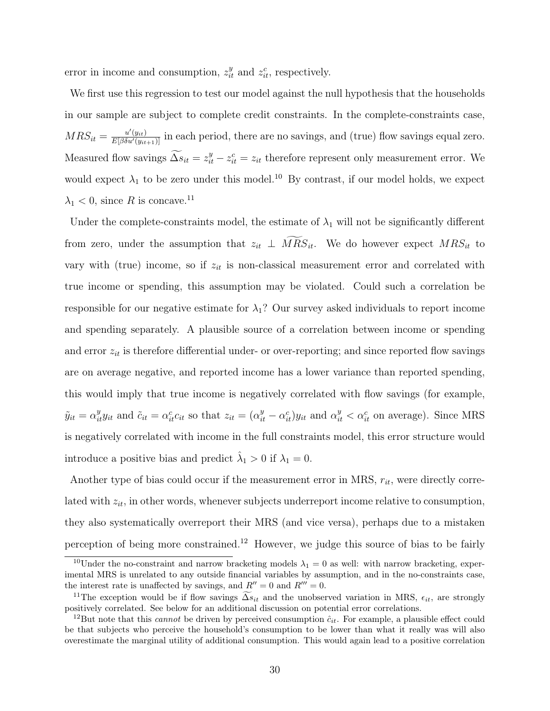error in income and consumption,  $z_{it}^y$  and  $z_{it}^c$ , respectively.

We first use this regression to test our model against the null hypothesis that the households in our sample are subject to complete credit constraints. In the complete-constraints case,  $MRS_{it} = \frac{u'(y_{it})}{E[\beta \delta u'(y_{it+1})]}$  in each period, there are no savings, and (true) flow savings equal zero. Measured flow savings  $\widetilde{\Delta s}_{it} = z_{it}^y - z_{it}^c = z_{it}$  therefore represent only measurement error. We would expect  $\lambda_1$  to be zero under this model.<sup>10</sup> By contrast, if our model holds, we expect  $\lambda_1$  < 0, since R is concave.<sup>11</sup>

Under the complete-constraints model, the estimate of  $\lambda_1$  will not be significantly different from zero, under the assumption that  $z_{it} \perp \overline{MRS}_{it}$ . We do however expect  $MRS_{it}$  to vary with (true) income, so if  $z_{it}$  is non-classical measurement error and correlated with true income or spending, this assumption may be violated. Could such a correlation be responsible for our negative estimate for  $\lambda_1$ ? Our survey asked individuals to report income and spending separately. A plausible source of a correlation between income or spending and error  $z_{it}$  is therefore differential under- or over-reporting; and since reported flow savings are on average negative, and reported income has a lower variance than reported spending, this would imply that true income is negatively correlated with flow savings (for example,  $\tilde{y}_{it} = \alpha_{it}^y y_{it}$  and  $\tilde{c}_{it} = \alpha_{it}^c c_{it}$  so that  $z_{it} = (\alpha_{it}^y - \alpha_{it}^c) y_{it}$  and  $\alpha_{it}^y < \alpha_{it}^c$  on average). Since MRS is negatively correlated with income in the full constraints model, this error structure would introduce a positive bias and predict  $\hat{\lambda}_1 > 0$  if  $\lambda_1 = 0$ .

Another type of bias could occur if the measurement error in MRS,  $r_{it}$ , were directly correlated with  $z_{it}$ , in other words, whenever subjects underreport income relative to consumption, they also systematically overreport their MRS (and vice versa), perhaps due to a mistaken perception of being more constrained.<sup>12</sup> However, we judge this source of bias to be fairly

<sup>&</sup>lt;sup>10</sup>Under the no-constraint and narrow bracketing models  $\lambda_1 = 0$  as well: with narrow bracketing, experimental MRS is unrelated to any outside financial variables by assumption, and in the no-constraints case, the interest rate is unaffected by savings, and  $R'' = 0$  and  $R''' = 0$ .

<sup>&</sup>lt;sup>11</sup>The exception would be if flow savings  $\widetilde{\Delta s}_{it}$  and the unobserved variation in MRS,  $\epsilon_{it}$ , are strongly positively correlated. See below for an additional discussion on potential error correlations.

<sup>&</sup>lt;sup>12</sup>But note that this *cannot* be driven by perceived consumption  $\hat{c}_{it}$ . For example, a plausible effect could be that subjects who perceive the household's consumption to be lower than what it really was will also overestimate the marginal utility of additional consumption. This would again lead to a positive correlation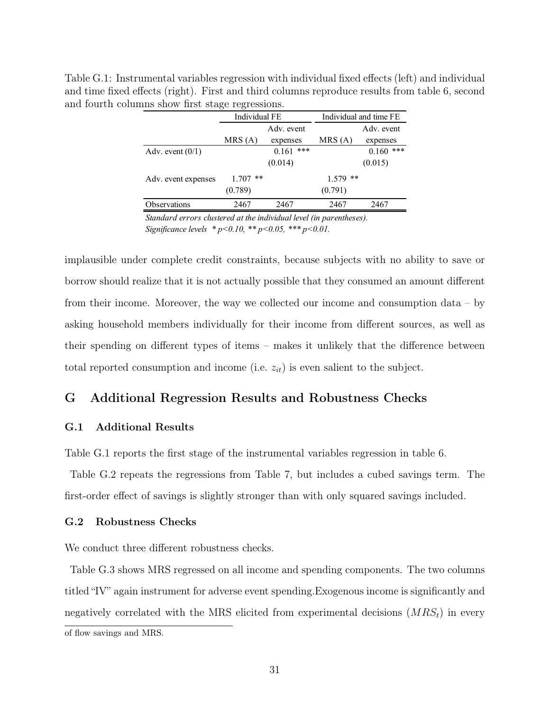| $\frac{1}{2}$       |               |              |                        |             |  |
|---------------------|---------------|--------------|------------------------|-------------|--|
|                     | Individual FE |              | Individual and time FE |             |  |
|                     |               | Adv. event   |                        | Adv. event  |  |
|                     | MRS(A)        | expenses     | MRS(A)                 | expenses    |  |
| Adv. event $(0/1)$  |               | ***<br>0.161 |                        | $0.160$ *** |  |
|                     |               | (0.014)      |                        | (0.015)     |  |
| Adv. event expenses | $1.707$ **    |              | $1.579$ **             |             |  |
|                     | (0.789)       |              | (0.791)                |             |  |
| Observations        | 2467          | 2467         | 2467                   | 2467        |  |

Table G.1: Instrumental variables regression with individual fixed effects (left) and individual and time fixed effects (right). First and third columns reproduce results from table 6, second and fourth columns show first stage regressions.

*Standard errors clustered at the individual level (in parentheses). Significance levels \* p<0.10, \*\* p<0.05, \*\*\* p<0.01.*

implausible under complete credit constraints, because subjects with no ability to save or borrow should realize that it is not actually possible that they consumed an amount different from their income. Moreover, the way we collected our income and consumption data – by asking household members individually for their income from different sources, as well as their spending on different types of items – makes it unlikely that the difference between total reported consumption and income (i.e.  $z_{it}$ ) is even salient to the subject.

# G Additional Regression Results and Robustness Checks

### G.1 Additional Results

Table G.1 reports the first stage of the instrumental variables regression in table 6.

Table G.2 repeats the regressions from Table 7, but includes a cubed savings term. The first-order effect of savings is slightly stronger than with only squared savings included.

### G.2 Robustness Checks

We conduct three different robustness checks.

Table G.3 shows MRS regressed on all income and spending components. The two columns titled "IV" again instrument for adverse event spending.Exogenous income is significantly and negatively correlated with the MRS elicited from experimental decisions  $(MRS_t)$  in every

of flow savings and MRS.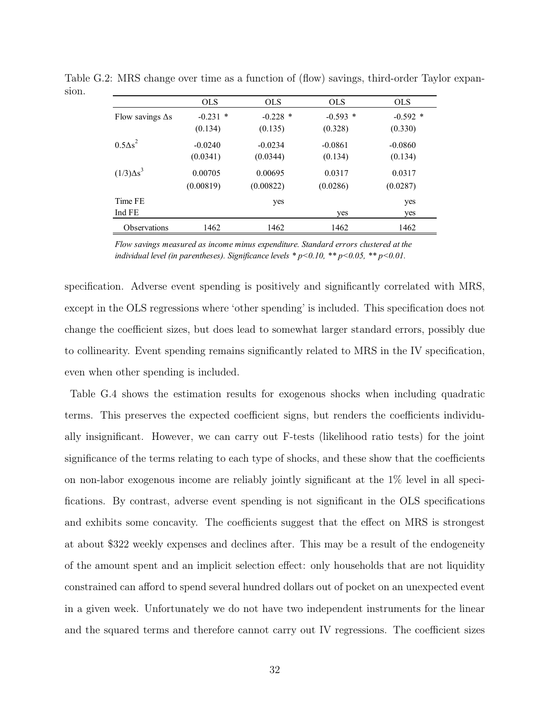|                         | <b>OLS</b> | <b>OLS</b> | <b>OLS</b> | <b>OLS</b> |
|-------------------------|------------|------------|------------|------------|
| Flow savings $\Delta s$ | $-0.231$ * | $-0.228$ * | $-0.593$ * | $-0.592$ * |
|                         | (0.134)    | (0.135)    | (0.328)    | (0.330)    |
| $0.5\Delta s^2$         | $-0.0240$  | $-0.0234$  | $-0.0861$  | $-0.0860$  |
|                         | (0.0341)   | (0.0344)   | (0.134)    | (0.134)    |
| $(1/3)\Delta s^3$       | 0.00705    | 0.00695    | 0.0317     | 0.0317     |
|                         | (0.00819)  | (0.00822)  | (0.0286)   | (0.0287)   |
| Time FE                 |            | yes        |            | yes        |
| Ind FE                  |            |            | yes        | yes        |
| <b>Observations</b>     | 1462       | 1462       | 1462       | 1462       |

Table G.2: MRS change over time as a function of (flow) savings, third-order Taylor expansion.

*Flow savings measured as income minus expenditure. Standard errors clustered at the individual level (in parentheses). Significance levels \* p<0.10, \*\* p<0.05, \*\* p<0.01.*

specification. Adverse event spending is positively and significantly correlated with MRS, except in the OLS regressions where 'other spending' is included. This specification does not change the coefficient sizes, but does lead to somewhat larger standard errors, possibly due to collinearity. Event spending remains significantly related to MRS in the IV specification, even when other spending is included.

Table G.4 shows the estimation results for exogenous shocks when including quadratic terms. This preserves the expected coefficient signs, but renders the coefficients individually insignificant. However, we can carry out F-tests (likelihood ratio tests) for the joint significance of the terms relating to each type of shocks, and these show that the coefficients on non-labor exogenous income are reliably jointly significant at the 1% level in all specifications. By contrast, adverse event spending is not significant in the OLS specifications and exhibits some concavity. The coefficients suggest that the effect on MRS is strongest at about \$322 weekly expenses and declines after. This may be a result of the endogeneity of the amount spent and an implicit selection effect: only households that are not liquidity constrained can afford to spend several hundred dollars out of pocket on an unexpected event in a given week. Unfortunately we do not have two independent instruments for the linear and the squared terms and therefore cannot carry out IV regressions. The coefficient sizes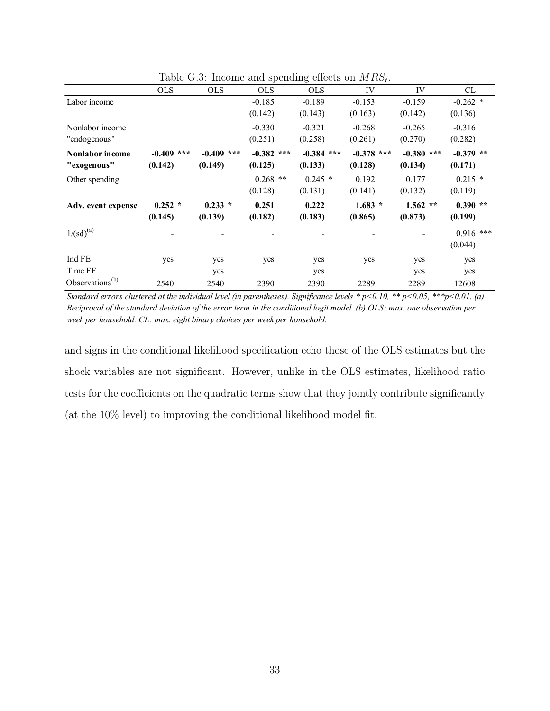|                        |              |              | moonie wird oponding |              |              |              |             |
|------------------------|--------------|--------------|----------------------|--------------|--------------|--------------|-------------|
|                        | <b>OLS</b>   | <b>OLS</b>   | <b>OLS</b>           | <b>OLS</b>   | IV           | IV           | CL          |
| Labor income           |              |              | $-0.185$             | $-0.189$     | $-0.153$     | $-0.159$     | $-0.262$ *  |
|                        |              |              | (0.142)              | (0.143)      | (0.163)      | (0.142)      | (0.136)     |
| Nonlabor income        |              |              | $-0.330$             | $-0.321$     | $-0.268$     | $-0.265$     | $-0.316$    |
| "endogenous"           |              |              | (0.251)              | (0.258)      | (0.261)      | (0.270)      | (0.282)     |
| <b>Nonlabor income</b> | $-0.409$ *** | $-0.409$ *** | $-0.382$ ***         | $-0.384$ *** | $-0.378$ *** | $-0.380$ *** | $-0.379$ ** |
| "exogenous"            | (0.142)      | (0.149)      | (0.125)              | (0.133)      | (0.128)      | (0.134)      | (0.171)     |
| Other spending         |              |              | $0.268$ **           | $0.245$ *    | 0.192        | 0.177        | $0.215$ *   |
|                        |              |              | (0.128)              | (0.131)      | (0.141)      | (0.132)      | (0.119)     |
| Adv. event expense     | $0.252 *$    | $0.233 *$    | 0.251                | 0.222        | $1.683 *$    | $1.562$ **   | $0.390**$   |
|                        | (0.145)      | (0.139)      | (0.182)              | (0.183)      | (0.865)      | (0.873)      | (0.199)     |
| $1/(sd)^{(a)}$         |              |              |                      |              |              |              | $0.916$ *** |
|                        |              |              |                      |              |              |              | (0.044)     |
| Ind FE                 | yes          | yes          | yes                  | yes          | yes          | yes          | yes         |
| Time FE                |              | yes          |                      | yes          |              | yes          | yes         |
| Observations $(b)$     | 2540         | 2540         | 2390                 | 2390         | 2289         | 2289         | 12608       |

Table G.3: Income and spending effects on  $MRS_t$ .

*Standard errors clustered at the individual level (in parentheses). Significance levels \* p<0.10, \*\* p<0.05, \*\*\*p<0.01. (a) Reciprocal of the standard deviation of the error term in the conditional logit model. (b) OLS: max. one observation per week per household. CL: max. eight binary choices per week per household.*

and signs in the conditional likelihood specification echo those of the OLS estimates but the shock variables are not significant. However, unlike in the OLS estimates, likelihood ratio tests for the coefficients on the quadratic terms show that they jointly contribute significantly (at the 10% level) to improving the conditional likelihood model fit.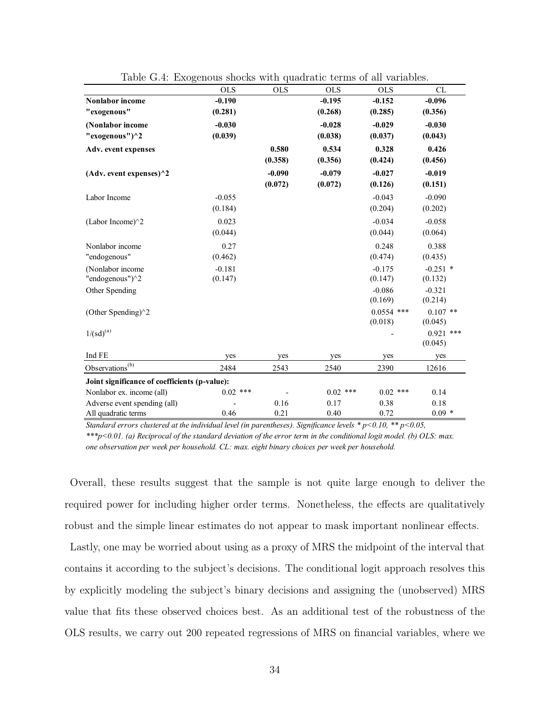|                                               | <b>OLS</b> | <b>OLS</b> | <b>OLS</b> | <b>OLS</b>          | <b>CL</b>           |
|-----------------------------------------------|------------|------------|------------|---------------------|---------------------|
| <b>Nonlabor</b> income                        | $-0.190$   |            | $-0.195$   | $-0.152$            | $-0.096$            |
| "exogenous"                                   | (0.281)    |            | (0.268)    | (0.285)             | (0.356)             |
| (Nonlabor income                              | $-0.030$   |            | $-0.028$   | $-0.029$            | $-0.030$            |
| "exogenous") $^{\wedge}2$                     | (0.039)    |            | (0.038)    | (0.037)             | (0.043)             |
| Adv. event expenses                           |            | 0.580      | 0.534      | 0.328               | 0.426               |
|                                               |            | (0.358)    | (0.356)    | (0.424)             | (0.456)             |
| (Adv. event expenses) $^{\wedge}2$            |            | $-0.090$   | $-0.079$   | $-0.027$            | $-0.019$            |
|                                               |            | (0.072)    | (0.072)    | (0.126)             | (0.151)             |
| Labor Income                                  | $-0.055$   |            |            | $-0.043$            | $-0.090$            |
|                                               | (0.184)    |            |            | (0.204)             | (0.202)             |
| (Labor Income) $^{\wedge}2$                   | 0.023      |            |            | $-0.034$            | $-0.058$            |
|                                               | (0.044)    |            |            | (0.044)             | (0.064)             |
| Nonlabor income                               | 0.27       |            |            | 0.248               | 0.388               |
| "endogenous"                                  | (0.462)    |            |            | (0.474)             | (0.435)             |
| (Nonlabor income                              | $-0.181$   |            |            | $-0.175$            | $-0.251$ *          |
| "endogenous")^2                               | (0.147)    |            |            | (0.147)             | (0.132)             |
| Other Spending                                |            |            |            | $-0.086$<br>(0.169) | $-0.321$<br>(0.214) |
| (Other Spending) $^{\wedge}2$                 |            |            |            | $0.0554$ ***        | $0.107$ **          |
|                                               |            |            |            | (0.018)             | (0.045)             |
| $1/(sd)^{(a)}$                                |            |            |            |                     | $0.921$ ***         |
|                                               |            |            |            |                     | (0.045)             |
| Ind FE                                        | yes        | yes        | yes        | yes                 | yes                 |
| Observations <sup>(b)</sup>                   | 2484       | 2543       | 2540       | 2390                | 12616               |
| Joint significance of coefficients (p-value): |            |            |            |                     |                     |
| Nonlabor ex. income (all)                     | $0.02$ *** |            | $0.02$ *** | $0.02$ ***          | 0.14                |
| Adverse event spending (all)                  |            | 0.16       | 0.17       | 0.38                | 0.18                |
| All quadratic terms                           | 0.46       | 0.21       | 0.40       | 0.72                | $0.09*$             |

Table G.4: Exogenous shocks with quadratic terms of all variables.

*Standard errors clustered at the individual level (in parentheses). Significance levels \* p<0.10, \*\* p<0.05, \*\*\*p<0.01. (a) Reciprocal of the standard deviation of the error term in the conditional logit model. (b) OLS: max. one observation per week per household. CL: max. eight binary choices per week per household.*

Overall, these results suggest that the sample is not quite large enough to deliver the required power for including higher order terms. Nonetheless, the effects are qualitatively robust and the simple linear estimates do not appear to mask important nonlinear effects.

Lastly, one may be worried about using as a proxy of MRS the midpoint of the interval that contains it according to the subject's decisions. The conditional logit approach resolves this by explicitly modeling the subject's binary decisions and assigning the (unobserved) MRS value that fits these observed choices best. As an additional test of the robustness of the OLS results, we carry out 200 repeated regressions of MRS on financial variables, where we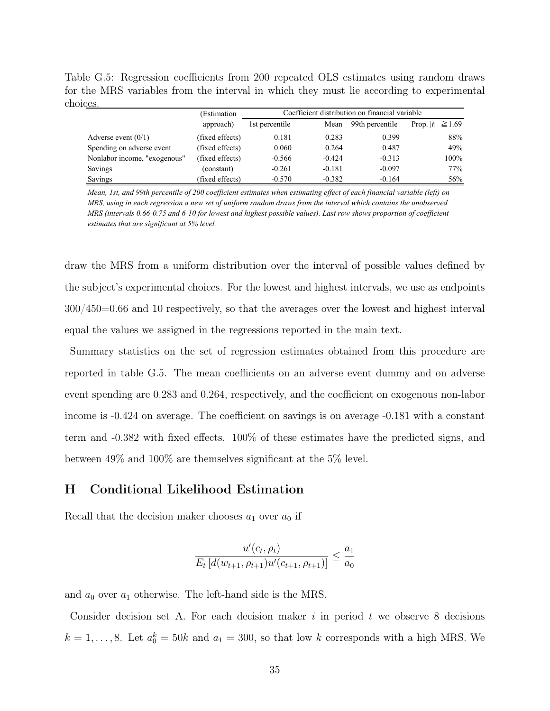Table G.5: Regression coefficients from 200 repeated OLS estimates using random draws for the MRS variables from the interval in which they must lie according to experimental choices.

|                              | (Estimation     | Coefficient distribution on financial variable |          |                 |                      |  |
|------------------------------|-----------------|------------------------------------------------|----------|-----------------|----------------------|--|
|                              | approach)       | 1st percentile                                 | Mean     | 99th percentile | Prop. $ t  \ge 1.69$ |  |
| Adverse event $(0/1)$        | (fixed effects) | 0.181                                          | 0.283    | 0.399           | 88%                  |  |
| Spending on adverse event    | (fixed effects) | 0.060                                          | 0.264    | 0.487           | 49%                  |  |
| Nonlabor income, "exogenous" | (fixed effects) | $-0.566$                                       | $-0.424$ | $-0.313$        | $100\%$              |  |
| Savings                      | (constant)      | $-0.261$                                       | $-0.181$ | $-0.097$        | 77%                  |  |
| Savings                      | (fixed effects) | $-0.570$                                       | $-0.382$ | $-0.164$        | 56%                  |  |

*Mean, 1st, and 99th percentile of 200 coefficient estimates when estimating effect of each financial variable (left) on MRS, using in each regression a new set of uniform random draws from the interval which contains the unobserved MRS (intervals 0.66-0.75 and 6-10 for lowest and highest possible values). Last row shows proportion of coefficient estimates that are significant at 5% level.* 

draw the MRS from a uniform distribution over the interval of possible values defined by the subject's experimental choices. For the lowest and highest intervals, we use as endpoints 300/450=0.66 and 10 respectively, so that the averages over the lowest and highest interval equal the values we assigned in the regressions reported in the main text.

Summary statistics on the set of regression estimates obtained from this procedure are reported in table G.5. The mean coefficients on an adverse event dummy and on adverse event spending are 0.283 and 0.264, respectively, and the coefficient on exogenous non-labor income is -0.424 on average. The coefficient on savings is on average -0.181 with a constant term and -0.382 with fixed effects. 100% of these estimates have the predicted signs, and between 49% and 100% are themselves significant at the 5% level.

# H Conditional Likelihood Estimation

Recall that the decision maker chooses  $a_1$  over  $a_0$  if

$$
\frac{u'(c_t, \rho_t)}{E_t \left[d(w_{t+1}, \rho_{t+1})u'(c_{t+1}, \rho_{t+1})\right]} \le \frac{a_1}{a_0}
$$

and  $a_0$  over  $a_1$  otherwise. The left-hand side is the MRS.

Consider decision set A. For each decision maker  $i$  in period  $t$  we observe 8 decisions  $k = 1, \ldots, 8$ . Let  $a_0^k = 50k$  and  $a_1 = 300$ , so that low k corresponds with a high MRS. We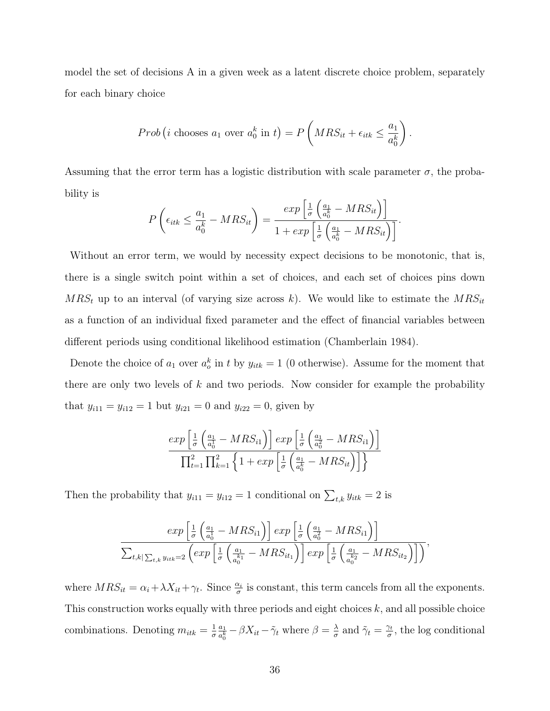model the set of decisions A in a given week as a latent discrete choice problem, separately for each binary choice

$$
Prob(i \text{ chooses } a_1 \text{ over } a_0^k \text{ in } t) = P\left(MRS_{it} + \epsilon_{itk} \leq \frac{a_1}{a_0^k}\right).
$$

Assuming that the error term has a logistic distribution with scale parameter  $\sigma$ , the probability is

$$
P\left(\epsilon_{itk} \leq \frac{a_1}{a_0^k} - MRS_{it}\right) = \frac{\exp\left[\frac{1}{\sigma}\left(\frac{a_1}{a_0^k} - MRS_{it}\right)\right]}{1 + \exp\left[\frac{1}{\sigma}\left(\frac{a_1}{a_0^k} - MRS_{it}\right)\right]}.
$$

Without an error term, we would by necessity expect decisions to be monotonic, that is, there is a single switch point within a set of choices, and each set of choices pins down  $MRS_t$  up to an interval (of varying size across k). We would like to estimate the  $MRS_{it}$ as a function of an individual fixed parameter and the effect of financial variables between different periods using conditional likelihood estimation (Chamberlain 1984).

Denote the choice of  $a_1$  over  $a_o^k$  in t by  $y_{itk} = 1$  (0 otherwise). Assume for the moment that there are only two levels of  $k$  and two periods. Now consider for example the probability that  $y_{i11} = y_{i12} = 1$  but  $y_{i21} = 0$  and  $y_{i22} = 0$ , given by

$$
\frac{\exp\left[\frac{1}{\sigma}\left(\frac{a_1}{a_0^1} - MRS_{i1}\right)\right] \exp\left[\frac{1}{\sigma}\left(\frac{a_1}{a_0^2} - MRS_{i1}\right)\right]}{\prod_{t=1}^2 \prod_{k=1}^2 \left\{1 + \exp\left[\frac{1}{\sigma}\left(\frac{a_1}{a_0^k} - MRS_{it}\right)\right]\right\}}
$$

Then the probability that  $y_{i11} = y_{i12} = 1$  conditional on  $\sum_{t,k} y_{itk} = 2$  is

$$
\frac{\exp\left[\frac{1}{\sigma}\left(\frac{a_1}{a_0^1}-MRS_{i1}\right)\right]\exp\left[\frac{1}{\sigma}\left(\frac{a_1}{a_0^2}-MRS_{i1}\right)\right]}{\sum_{t,k|\sum_{t,k}\sum_{t,k}\min=2}\left(\exp\left[\frac{1}{\sigma}\left(\frac{a_1}{a_0^{k_1}}-MRS_{i t_1}\right)\right]\exp\left[\frac{1}{\sigma}\left(\frac{a_1}{a_0^{k_2}}-MRS_{i t_2}\right)\right]\right)},
$$

where  $MRS_{it} = \alpha_i + \lambda X_{it} + \gamma_t$ . Since  $\frac{\alpha_i}{\sigma}$  is constant, this term cancels from all the exponents. This construction works equally with three periods and eight choices  $k$ , and all possible choice combinations. Denoting  $m_{itk} = \frac{1}{\sigma}$ σ  $a_1$  $\frac{a_1}{a_0^k} - \beta X_{it} - \tilde{\gamma}_t$  where  $\beta = \frac{\lambda}{\sigma}$  $\frac{\lambda}{\sigma}$  and  $\tilde{\gamma}_t = \frac{\gamma_t}{\sigma}$  $\frac{\gamma_t}{\sigma}$ , the log conditional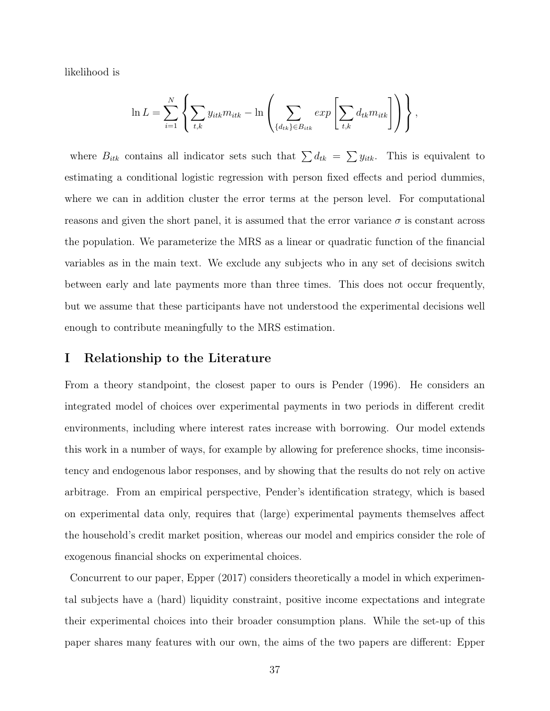likelihood is

$$
\ln L = \sum_{i=1}^{N} \left\{ \sum_{t,k} y_{itk} m_{itk} - \ln \left( \sum_{\{d_{tk}\} \in B_{itk}} exp \left[ \sum_{t,k} d_{tk} m_{itk} \right] \right) \right\},\,
$$

where  $B_{itk}$  contains all indicator sets such that  $\sum d_{tk} = \sum y_{itk}$ . This is equivalent to estimating a conditional logistic regression with person fixed effects and period dummies, where we can in addition cluster the error terms at the person level. For computational reasons and given the short panel, it is assumed that the error variance  $\sigma$  is constant across the population. We parameterize the MRS as a linear or quadratic function of the financial variables as in the main text. We exclude any subjects who in any set of decisions switch between early and late payments more than three times. This does not occur frequently, but we assume that these participants have not understood the experimental decisions well enough to contribute meaningfully to the MRS estimation.

### I Relationship to the Literature

From a theory standpoint, the closest paper to ours is Pender (1996). He considers an integrated model of choices over experimental payments in two periods in different credit environments, including where interest rates increase with borrowing. Our model extends this work in a number of ways, for example by allowing for preference shocks, time inconsistency and endogenous labor responses, and by showing that the results do not rely on active arbitrage. From an empirical perspective, Pender's identification strategy, which is based on experimental data only, requires that (large) experimental payments themselves affect the household's credit market position, whereas our model and empirics consider the role of exogenous financial shocks on experimental choices.

Concurrent to our paper, Epper (2017) considers theoretically a model in which experimental subjects have a (hard) liquidity constraint, positive income expectations and integrate their experimental choices into their broader consumption plans. While the set-up of this paper shares many features with our own, the aims of the two papers are different: Epper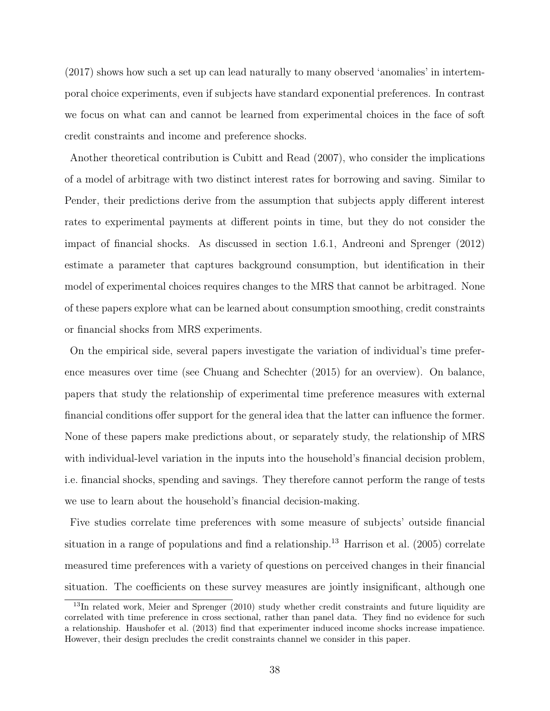(2017) shows how such a set up can lead naturally to many observed 'anomalies' in intertemporal choice experiments, even if subjects have standard exponential preferences. In contrast we focus on what can and cannot be learned from experimental choices in the face of soft credit constraints and income and preference shocks.

Another theoretical contribution is Cubitt and Read (2007), who consider the implications of a model of arbitrage with two distinct interest rates for borrowing and saving. Similar to Pender, their predictions derive from the assumption that subjects apply different interest rates to experimental payments at different points in time, but they do not consider the impact of financial shocks. As discussed in section 1.6.1, Andreoni and Sprenger (2012) estimate a parameter that captures background consumption, but identification in their model of experimental choices requires changes to the MRS that cannot be arbitraged. None of these papers explore what can be learned about consumption smoothing, credit constraints or financial shocks from MRS experiments.

On the empirical side, several papers investigate the variation of individual's time preference measures over time (see Chuang and Schechter (2015) for an overview). On balance, papers that study the relationship of experimental time preference measures with external financial conditions offer support for the general idea that the latter can influence the former. None of these papers make predictions about, or separately study, the relationship of MRS with individual-level variation in the inputs into the household's financial decision problem, i.e. financial shocks, spending and savings. They therefore cannot perform the range of tests we use to learn about the household's financial decision-making.

Five studies correlate time preferences with some measure of subjects' outside financial situation in a range of populations and find a relationship.<sup>13</sup> Harrison et al.  $(2005)$  correlate measured time preferences with a variety of questions on perceived changes in their financial situation. The coefficients on these survey measures are jointly insignificant, although one

<sup>&</sup>lt;sup>13</sup>In related work, Meier and Sprenger (2010) study whether credit constraints and future liquidity are correlated with time preference in cross sectional, rather than panel data. They find no evidence for such a relationship. Haushofer et al. (2013) find that experimenter induced income shocks increase impatience. However, their design precludes the credit constraints channel we consider in this paper.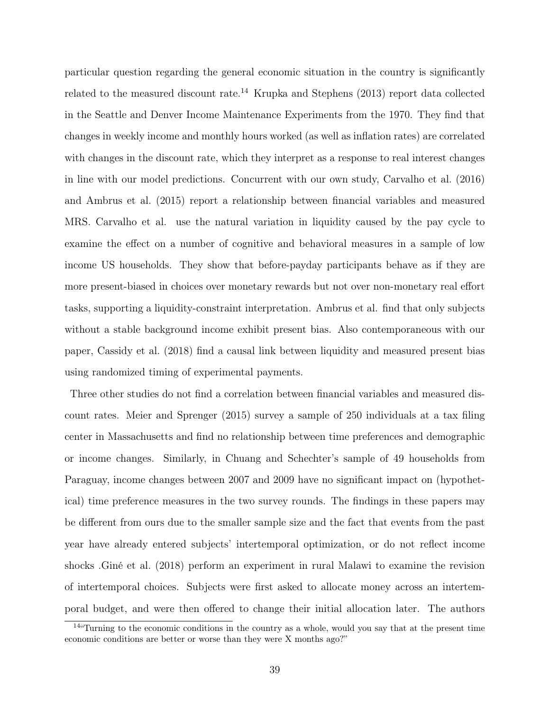particular question regarding the general economic situation in the country is significantly related to the measured discount rate.<sup>14</sup> Krupka and Stephens (2013) report data collected in the Seattle and Denver Income Maintenance Experiments from the 1970. They find that changes in weekly income and monthly hours worked (as well as inflation rates) are correlated with changes in the discount rate, which they interpret as a response to real interest changes in line with our model predictions. Concurrent with our own study, Carvalho et al. (2016) and Ambrus et al. (2015) report a relationship between financial variables and measured MRS. Carvalho et al. use the natural variation in liquidity caused by the pay cycle to examine the effect on a number of cognitive and behavioral measures in a sample of low income US households. They show that before-payday participants behave as if they are more present-biased in choices over monetary rewards but not over non-monetary real effort tasks, supporting a liquidity-constraint interpretation. Ambrus et al. find that only subjects without a stable background income exhibit present bias. Also contemporaneous with our paper, Cassidy et al. (2018) find a causal link between liquidity and measured present bias using randomized timing of experimental payments.

Three other studies do not find a correlation between financial variables and measured discount rates. Meier and Sprenger (2015) survey a sample of 250 individuals at a tax filing center in Massachusetts and find no relationship between time preferences and demographic or income changes. Similarly, in Chuang and Schechter's sample of 49 households from Paraguay, income changes between 2007 and 2009 have no significant impact on (hypothetical) time preference measures in the two survey rounds. The findings in these papers may be different from ours due to the smaller sample size and the fact that events from the past year have already entered subjects' intertemporal optimization, or do not reflect income shocks .Giné et al. (2018) perform an experiment in rural Malawi to examine the revision of intertemporal choices. Subjects were first asked to allocate money across an intertemporal budget, and were then offered to change their initial allocation later. The authors

<sup>&</sup>lt;sup>14"</sup>Turning to the economic conditions in the country as a whole, would you say that at the present time economic conditions are better or worse than they were X months ago?"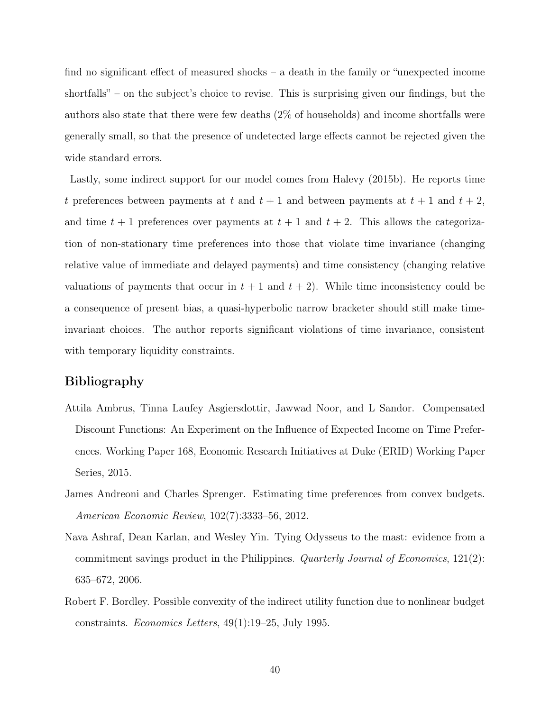find no significant effect of measured shocks – a death in the family or "unexpected income shortfalls" – on the subject's choice to revise. This is surprising given our findings, but the authors also state that there were few deaths (2% of households) and income shortfalls were generally small, so that the presence of undetected large effects cannot be rejected given the wide standard errors.

Lastly, some indirect support for our model comes from Halevy (2015b). He reports time t preferences between payments at t and  $t + 1$  and between payments at  $t + 1$  and  $t + 2$ , and time  $t + 1$  preferences over payments at  $t + 1$  and  $t + 2$ . This allows the categorization of non-stationary time preferences into those that violate time invariance (changing relative value of immediate and delayed payments) and time consistency (changing relative valuations of payments that occur in  $t + 1$  and  $t + 2$ ). While time inconsistency could be a consequence of present bias, a quasi-hyperbolic narrow bracketer should still make timeinvariant choices. The author reports significant violations of time invariance, consistent with temporary liquidity constraints.

# Bibliography

- Attila Ambrus, Tinna Laufey Asgiersdottir, Jawwad Noor, and L Sandor. Compensated Discount Functions: An Experiment on the Influence of Expected Income on Time Preferences. Working Paper 168, Economic Research Initiatives at Duke (ERID) Working Paper Series, 2015.
- James Andreoni and Charles Sprenger. Estimating time preferences from convex budgets. American Economic Review, 102(7):3333–56, 2012.
- Nava Ashraf, Dean Karlan, and Wesley Yin. Tying Odysseus to the mast: evidence from a commitment savings product in the Philippines. Quarterly Journal of Economics, 121(2): 635–672, 2006.
- Robert F. Bordley. Possible convexity of the indirect utility function due to nonlinear budget constraints. Economics Letters, 49(1):19–25, July 1995.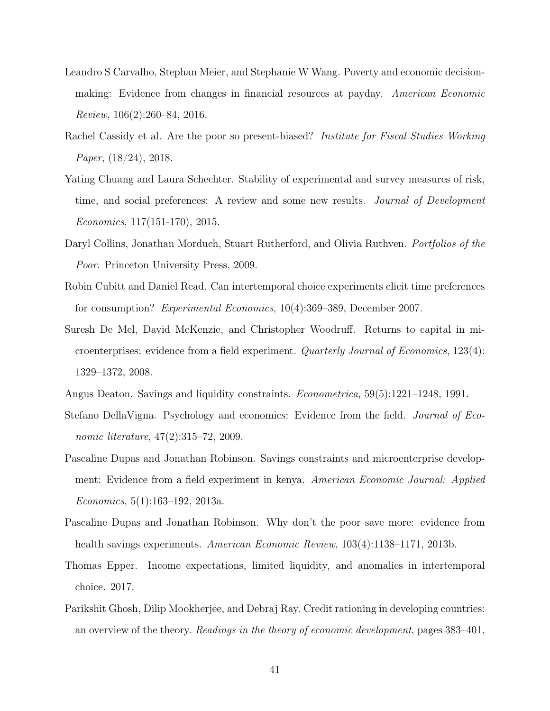- Leandro S Carvalho, Stephan Meier, and Stephanie W Wang. Poverty and economic decisionmaking: Evidence from changes in financial resources at payday. American Economic Review, 106(2):260–84, 2016.
- Rachel Cassidy et al. Are the poor so present-biased? *Institute for Fiscal Studies Working* Paper, (18/24), 2018.
- Yating Chuang and Laura Schechter. Stability of experimental and survey measures of risk, time, and social preferences: A review and some new results. Journal of Development Economics, 117(151-170), 2015.
- Daryl Collins, Jonathan Morduch, Stuart Rutherford, and Olivia Ruthven. *Portfolios of the* Poor. Princeton University Press, 2009.
- Robin Cubitt and Daniel Read. Can intertemporal choice experiments elicit time preferences for consumption? Experimental Economics, 10(4):369–389, December 2007.
- Suresh De Mel, David McKenzie, and Christopher Woodruff. Returns to capital in microenterprises: evidence from a field experiment. Quarterly Journal of Economics, 123(4): 1329–1372, 2008.
- Angus Deaton. Savings and liquidity constraints. Econometrica, 59(5):1221–1248, 1991.
- Stefano DellaVigna. Psychology and economics: Evidence from the field. Journal of Economic literature, 47(2):315–72, 2009.
- Pascaline Dupas and Jonathan Robinson. Savings constraints and microenterprise development: Evidence from a field experiment in kenya. American Economic Journal: Applied Economics, 5(1):163–192, 2013a.
- Pascaline Dupas and Jonathan Robinson. Why don't the poor save more: evidence from health savings experiments. American Economic Review, 103(4):1138–1171, 2013b.
- Thomas Epper. Income expectations, limited liquidity, and anomalies in intertemporal choice. 2017.
- Parikshit Ghosh, Dilip Mookherjee, and Debraj Ray. Credit rationing in developing countries: an overview of the theory. Readings in the theory of economic development, pages 383–401,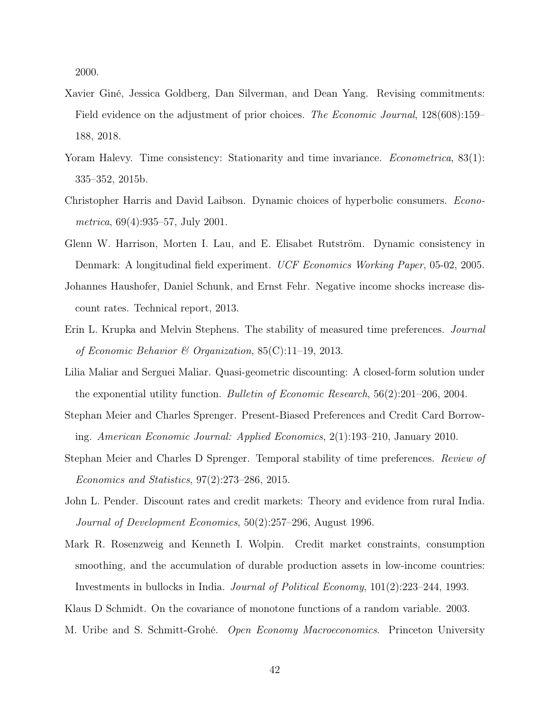2000.

- Xavier Giné, Jessica Goldberg, Dan Silverman, and Dean Yang. Revising commitments: Field evidence on the adjustment of prior choices. The Economic Journal, 128(608):159– 188, 2018.
- Yoram Halevy. Time consistency: Stationarity and time invariance. *Econometrica*, 83(1): 335–352, 2015b.
- Christopher Harris and David Laibson. Dynamic choices of hyperbolic consumers. Econometrica, 69(4):935–57, July 2001.
- Glenn W. Harrison, Morten I. Lau, and E. Elisabet Rutström. Dynamic consistency in Denmark: A longitudinal field experiment. UCF Economics Working Paper, 05-02, 2005.
- Johannes Haushofer, Daniel Schunk, and Ernst Fehr. Negative income shocks increase discount rates. Technical report, 2013.
- Erin L. Krupka and Melvin Stephens. The stability of measured time preferences. Journal of Economic Behavior & Organization,  $85(C):11-19$ , 2013.
- Lilia Maliar and Serguei Maliar. Quasi-geometric discounting: A closed-form solution under the exponential utility function. Bulletin of Economic Research, 56(2):201–206, 2004.
- Stephan Meier and Charles Sprenger. Present-Biased Preferences and Credit Card Borrowing. American Economic Journal: Applied Economics, 2(1):193–210, January 2010.
- Stephan Meier and Charles D Sprenger. Temporal stability of time preferences. Review of Economics and Statistics, 97(2):273–286, 2015.
- John L. Pender. Discount rates and credit markets: Theory and evidence from rural India. Journal of Development Economics, 50(2):257–296, August 1996.
- Mark R. Rosenzweig and Kenneth I. Wolpin. Credit market constraints, consumption smoothing, and the accumulation of durable production assets in low-income countries: Investments in bullocks in India. Journal of Political Economy, 101(2):223–244, 1993.
- Klaus D Schmidt. On the covariance of monotone functions of a random variable. 2003.
- M. Uribe and S. Schmitt-Grohé. *Open Economy Macroeconomics*. Princeton University